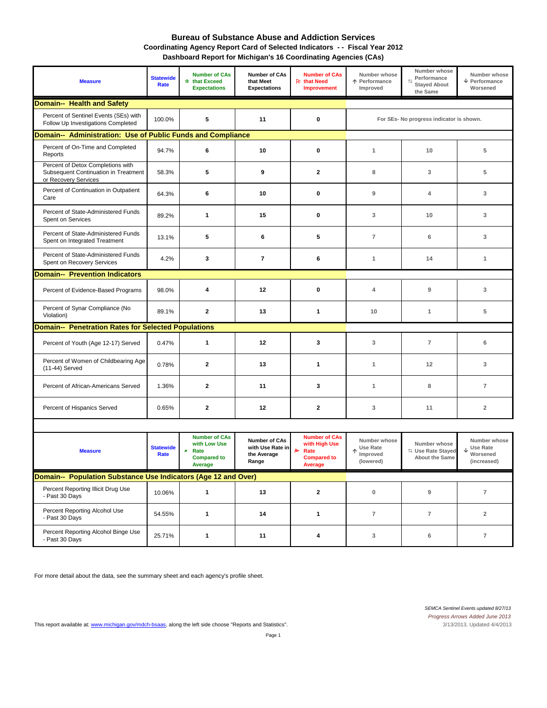#### **Bureau of Substance Abuse and Addiction Services Coordinating Agency Report Card of Selected Indicators - - Fiscal Year 2012 Dashboard Report for Michigan's 16 Coordinating Agencies (CAs)**

| <b>Measure</b>                                                                                    | <b>Statewide</b><br>Rate          | <b>Number of CAs</b><br>* that Exceed<br><b>Expectations</b>                       | <b>Number of CAs</b><br>that Meet<br><b>Expectations</b>         | <b>Number of CAs</b><br><b>R</b> that Need<br><b>Improvement</b>                                  | Number whose<br>↑ Performance<br>Improved         | Number whose<br>Performance<br>$\equiv$<br><b>Stayed About</b><br>the Same | Number whose<br>$\sqrt{\ }$ Performance<br>Worsened |
|---------------------------------------------------------------------------------------------------|-----------------------------------|------------------------------------------------------------------------------------|------------------------------------------------------------------|---------------------------------------------------------------------------------------------------|---------------------------------------------------|----------------------------------------------------------------------------|-----------------------------------------------------|
| <b>Domain-- Health and Safety</b>                                                                 |                                   |                                                                                    |                                                                  |                                                                                                   |                                                   |                                                                            |                                                     |
| Percent of Sentinel Events (SEs) with<br>Follow Up Investigations Completed                       | 5<br>11<br>$\mathbf{0}$<br>100.0% |                                                                                    |                                                                  |                                                                                                   |                                                   |                                                                            | For SEs- No progress indicator is shown.            |
| Domain-- Administration: Use of Public Funds and Compliance                                       |                                   |                                                                                    |                                                                  |                                                                                                   |                                                   |                                                                            |                                                     |
| Percent of On-Time and Completed<br>Reports                                                       | 94.7%                             | 6                                                                                  | 10                                                               | $\mathbf{0}$                                                                                      | $\mathbf{1}$                                      | 10                                                                         | 5                                                   |
| Percent of Detox Completions with<br>Subsequent Continuation in Treatment<br>or Recovery Services | 58.3%                             | 5                                                                                  | 9                                                                | $\overline{2}$                                                                                    | 8                                                 | 3                                                                          | 5                                                   |
| Percent of Continuation in Outpatient<br>Care                                                     | 64.3%                             | 6                                                                                  | 10                                                               | $\mathbf{0}$                                                                                      | 9                                                 | 4                                                                          | 3                                                   |
| Percent of State-Administered Funds<br>Spent on Services                                          | 89.2%                             | 1                                                                                  | 15                                                               | $\bf{0}$                                                                                          | 3                                                 | 10                                                                         | 3                                                   |
| Percent of State-Administered Funds<br>Spent on Integrated Treatment                              | 13.1%                             | 5                                                                                  | 6                                                                | 5                                                                                                 | $\overline{7}$                                    | 6                                                                          | 3                                                   |
| Percent of State-Administered Funds<br>Spent on Recovery Services                                 | 4.2%                              | 3                                                                                  | $\overline{7}$                                                   | 6                                                                                                 | $\mathbf{1}$                                      | 14                                                                         | $\mathbf{1}$                                        |
| <b>Domain-- Prevention Indicators</b>                                                             |                                   |                                                                                    |                                                                  |                                                                                                   |                                                   |                                                                            |                                                     |
| Percent of Evidence-Based Programs                                                                | 98.0%                             | 4                                                                                  | 12                                                               | $\mathbf 0$                                                                                       | $\overline{4}$                                    | $\overline{9}$                                                             | 3                                                   |
| Percent of Synar Compliance (No<br>Violation)                                                     | 89.1%                             | $\mathbf{2}$                                                                       | 13                                                               | 1                                                                                                 | 10                                                | 1                                                                          | 5                                                   |
| <b>Domain-- Penetration Rates for Selected Populations</b>                                        |                                   |                                                                                    |                                                                  |                                                                                                   |                                                   |                                                                            |                                                     |
| Percent of Youth (Age 12-17) Served                                                               | 0.47%                             | 1                                                                                  | 12                                                               | 3                                                                                                 | $\sqrt{3}$                                        | $\overline{7}$                                                             | 6                                                   |
| Percent of Women of Childbearing Age<br>(11-44) Served                                            | 0.78%                             | $\mathbf{2}$                                                                       | 13                                                               | 1                                                                                                 | $\mathbf{1}$                                      | 12                                                                         | 3                                                   |
| Percent of African-Americans Served                                                               | 1.36%                             | $\mathbf{2}$                                                                       | 11                                                               | 3                                                                                                 | $\mathbf{1}$                                      | 8                                                                          | $\overline{7}$                                      |
| Percent of Hispanics Served                                                                       | 0.65%                             | $\mathbf{2}$                                                                       | 12                                                               | $\mathbf{2}$                                                                                      | 3                                                 | 11                                                                         | $\mathbf 2$                                         |
|                                                                                                   |                                   |                                                                                    |                                                                  |                                                                                                   |                                                   |                                                                            |                                                     |
| <b>Measure</b>                                                                                    | <b>Statewide</b><br>Rate          | <b>Number of CAs</b><br>with Low Use<br>×<br>Rate<br><b>Compared to</b><br>Average | <b>Number of CAs</b><br>with Use Rate in<br>the Average<br>Range | <b>Number of CAs</b><br>with High Use<br><b>R</b><br>Rate<br><b>Compared to</b><br><b>Average</b> | Number whose<br>Use Rate<br>Improved<br>(lowered) | Number whose<br><b>S</b> Use Rate Stayed<br><b>About the Same</b>          | Number whose<br>Use Rate<br>Worsened<br>(increased) |

|                                                                | $\cdots$ | <b>Compared to</b><br>Average | Range | <b>Compared to</b><br>Average | $\cdots \cdots \cdots \cdots$<br>(lowered) | About the Same | .<br>(increased) |
|----------------------------------------------------------------|----------|-------------------------------|-------|-------------------------------|--------------------------------------------|----------------|------------------|
| Domain-- Population Substance Use Indicators (Age 12 and Over) |          |                               |       |                               |                                            |                |                  |
| Percent Reporting Illicit Drug Use<br>- Past 30 Days           | 10.06%   |                               | 13    |                               |                                            |                |                  |
| Percent Reporting Alcohol Use<br>- Past 30 Days                | 54.55%   |                               | 14    |                               |                                            |                |                  |
| Percent Reporting Alcohol Binge Use<br>- Past 30 Days          | 25.71%   |                               | 11    |                               |                                            | 6              |                  |

For more detail about the data, see the summary sheet and each agency's profile sheet.

This report available at: www.michigan.gov/mdch-bsaas, along the left side choose "Reports and Statistics".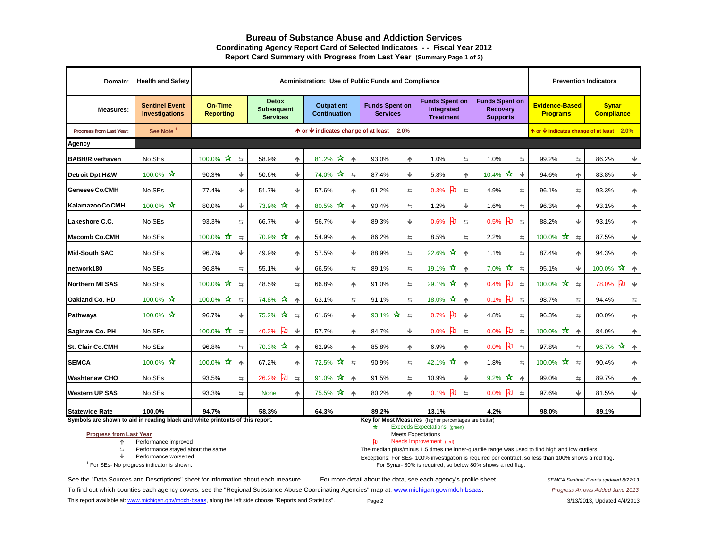#### **Bureau of Substance Abuse and Addiction ServicesCoordinating Agency Report Card of Selected Indicators - - Fiscal Year 2012 Report Card Summary with Progress from Last Year (Summary Page 1 of 2)**

| Domain:                    | <b>Health and Safety</b>                                                                                                                                                           |                                            | Administration: Use of Public Funds and Compliance   |                                          |                                          |                                                         |                                                             |                                          | <b>Prevention Indicators</b>      |
|----------------------------|------------------------------------------------------------------------------------------------------------------------------------------------------------------------------------|--------------------------------------------|------------------------------------------------------|------------------------------------------|------------------------------------------|---------------------------------------------------------|-------------------------------------------------------------|------------------------------------------|-----------------------------------|
| <b>Measures:</b>           | <b>Sentinel Event</b><br><b>Investigations</b>                                                                                                                                     | <b>On-Time</b><br><b>Reporting</b>         | <b>Detox</b><br><b>Subsequent</b><br><b>Services</b> | <b>Outpatient</b><br><b>Continuation</b> | <b>Funds Spent on</b><br><b>Services</b> | <b>Funds Spent on</b><br>Integrated<br><b>Treatment</b> | <b>Funds Spent on</b><br><b>Recovery</b><br><b>Supports</b> | <b>Evidence-Based</b><br><b>Programs</b> | <b>Synar</b><br><b>Compliance</b> |
| Progress from Last Year:   | See Note <sup>1</sup>                                                                                                                                                              |                                            |                                                      | ↑ or ↓ indicates change of at least 2.0% |                                          |                                                         |                                                             | ↑ or ↓ indicates change of at least 2.0% |                                   |
| Agency                     |                                                                                                                                                                                    |                                            |                                                      |                                          |                                          |                                                         |                                                             |                                          |                                   |
| <b>BABH/Riverhaven</b>     | No SEs                                                                                                                                                                             | $100.0\%$ $\frac{1}{2}$ $\frac{1}{2}$      | 58.9%<br>个                                           | 81.2% $\mathbf{\hat{x}}$<br>一个           | 93.0%<br>个                               | 1.0%<br>与                                               | 1.0%<br>与                                                   | 99.2%<br>$\Rightarrow$                   | 86.2%<br>₩                        |
| <b>Detroit Dpt.H&amp;W</b> | 100.0% ☆                                                                                                                                                                           | ₩<br>90.3%                                 | ♦<br>50.6%                                           | 74.0% *<br>$\equiv$                      | ♦<br>87.4%                               | 5.8%<br>个                                               | 10.4% $\star$<br>♦                                          | 94.6%<br>个                               | ₩<br>83.8%                        |
| <b>Genesee Co.CMH</b>      | No SEs                                                                                                                                                                             | Ψ<br>77.4%                                 | Ψ<br>51.7%                                           | 57.6%<br>不                               | 91.2%<br>t.                              | $\mathbf{p}$<br>0.3%<br>$\leftrightarrows$              | 4.9%<br>$\Rightarrow$                                       | 96.1%<br>$\Rightarrow$                   | 93.3%<br>个                        |
| Kalamazoo Co.CMH           | 100.0% ☆                                                                                                                                                                           | ♦<br>80.0%                                 | $\star$<br>73.9%<br>$\blacklozenge$                  | 80.5% ☆<br>个                             | t,<br>90.4%                              | ♦<br>1.2%                                               | 1.6%<br>$\equiv$                                            | 96.3%<br>个                               | 93.1%<br>个                        |
| Lakeshore C.C.             | No SEs                                                                                                                                                                             | 93.3%<br>与                                 | 66.7%<br>Ψ                                           | Ψ<br>56.7%                               | ♦<br>89.3%                               | $0.6%$ 2<br>$\Rightarrow$                               | $0.5%$ 2<br>$\leftrightarrows$                              | ♦<br>88.2%                               | 93.1%<br>个                        |
| <b>Macomb Co.CMH</b>       | No SEs                                                                                                                                                                             | 100.0% $\star$<br>$\leftrightarrows$       | $70.9\%$ $\star$<br>$\blacklozenge$                  | 54.9%<br>个                               | 86.2%<br>与                               | 8.5%<br>$\Rightarrow$                                   | 2.2%<br>$\leftrightarrows$                                  | 100.0% $\star$<br>$\Rightarrow$          | ₩<br>87.5%                        |
| Mid-South SAC              | No SEs                                                                                                                                                                             | Ψ<br>96.7%                                 | 49.9%<br>个                                           | ↓<br>57.5%                               | 88.9%<br>与                               | 22.6% $\star$<br>个                                      | 1.1%<br>与                                                   | 87.4%<br>不                               | 94.3%<br>个                        |
| network180                 | No SEs                                                                                                                                                                             | 96.8%<br>$\equiv$                          | Ψ<br>55.1%                                           | 66.5%<br>$\equiv$                        | 89.1%<br>$\Rightarrow$                   | 19.1% $\mathbf{\hat{x}}$ $\mathbf{\hat{A}}$             | $7.0\%$ $\star$<br>$\Rightarrow$                            | ♦<br>95.1%                               | 100.0% $\star$ 1                  |
| Northern MI SAS            | No SEs                                                                                                                                                                             | 100.0% ☆<br>$\equiv$                       | 48.5%<br>$\Rightarrow$                               | 66.8%<br>个                               | 91.0%<br>$\Rightarrow$                   | 29.1% ☆<br>不                                            | $0.4%$ 2<br>$\equiv$                                        | 100.0% ☆<br>$\equiv$                     | $\beta \psi$<br>78.0%             |
| Oakland Co. HD             | 100.0% ☆                                                                                                                                                                           | 100.0% ☆<br>$\Rightarrow$                  | 74.8% *<br>$\blacklozenge$                           | 63.1%<br>与                               | 91.1%<br>与                               | 18.0% *<br>个                                            | $0.1\%$ 2<br>$\leftrightarrows$                             | 98.7%<br>$\Rightarrow$                   | 94.4%<br>$\leftrightarrows$       |
| <b>Pathways</b>            | 100.0% $\star$                                                                                                                                                                     | 96.7%<br>↓                                 | $75.2\% \times 12.5$                                 | ⇓<br>61.6%                               | 93.1% $\star$<br>$\Rightarrow$           | 0.7% D ↓                                                | 4.8%<br>与                                                   | 96.3%<br>与                               | 80.0%<br>个                        |
| Saginaw Co. PH             | No SEs                                                                                                                                                                             | 100.0% $\mathbf{\hat{x}}$<br>$\Rightarrow$ | $\mathbf{p}$<br>$\overline{\mathbf{v}}$<br>40.2%     | 57.7%<br>个                               | v.<br>84.7%                              | $\mathbf{p}$<br>0.0%<br>$\Rightarrow$                   | ਇ<br>0.0%<br>$\leftrightarrows$                             | 100.0% $*$<br>$\uparrow$                 | 84.0%<br>不                        |
| <b>St. Clair Co.CMH</b>    | No SEs                                                                                                                                                                             | 96.8%<br>$\equiv$                          | $70.3\%$ $\star$<br>$\blacktriangle$                 | 62.9%<br>不                               | 85.8%<br>个                               | 6.9%<br>不                                               | $0.0\%$ PU<br>$\leftrightarrows$                            | 97.8%<br>$\equiv$                        | $\vec{x} +$<br>96.7%              |
| <b>SEMCA</b>               | 100.0% ☆                                                                                                                                                                           | 100.0% $\star$<br>不                        | 67.2%<br>个                                           | 72.5% *<br>$\leftrightarrows$            | 90.9%<br>与                               | 42.1% ☆<br>个                                            | 1.8%<br>$\leftrightarrows$                                  | 100.0% **<br>$\leftrightarrows$          | 90.4%<br>个                        |
| <b>Washtenaw CHO</b>       | No SEs                                                                                                                                                                             | 93.5%<br>与                                 | 26.2% PD<br>$\leftrightarrows$                       | 91.0% $*$<br>个                           | 91.5%<br>与                               | Ψ<br>10.9%                                              | $9.2\%$ $*$<br>不                                            | 99.0%<br>与                               | 89.7%<br>个                        |
| <b>Western UP SAS</b>      | No SEs                                                                                                                                                                             | 93.3%<br>与                                 | <b>None</b><br>个                                     | 75.5% *<br>个                             | 80.2%<br>个                               | $0.1\%$ 2 $\pm$                                         | $0.0\%$ PU<br>$\Rightarrow$                                 | ♦<br>97.6%                               | Ψ<br>81.5%                        |
| <b>Statewide Rate</b>      | 100.0%                                                                                                                                                                             | 94.7%                                      | 58.3%                                                | 64.3%                                    | 89.2%                                    | 13.1%                                                   | 4.2%                                                        | 98.0%                                    | 89.1%                             |
|                            | Symbols are shown to aid in reading black and white printouts of this report.<br>Key for Most Measures (higher percentages are better)<br>∗<br><b>Exceeds Expectations</b> (green) |                                            |                                                      |                                          |                                          |                                                         |                                                             |                                          |                                   |

#### **Progress from Last Year**

Performance improved Needs Improvement (red)

 $\Rightarrow$  Performance stayed about the same

 Performance worsened <sup>1</sup> For SEs- No progress indicator is shown.

Meets Expectations<br>Needs Improvement (red)

The median plus/minus 1.5 times the inner-quartile range was used to find high and low outliers.

Exceptions: For SEs- 100% investigation is required per contract, so less than 100% shows a red flag. For Synar- 80% is required, so below 80% shows a red flag.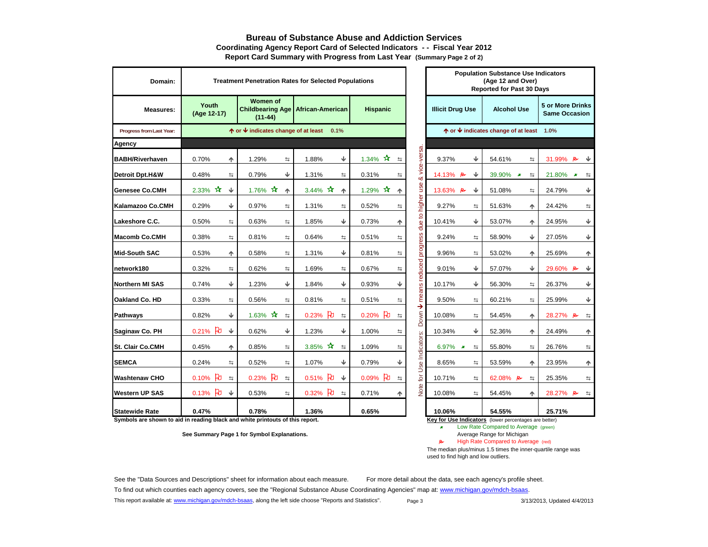#### **Bureau of Substance Abuse and Addiction ServicesCoordinating Agency Report Card of Selected Indicators - - Fiscal Year 2012 Report Card Summary with Progress from Last Year (Summary Page 2 of 2)**

| Domain:                  | <b>Treatment Penetration Rates for Selected Populations</b> |                                                              |                                           |                                          |                     |                                                                                                  | <b>Population Substance Use Indicators</b><br>(Age 12 and Over)<br><b>Reported for Past 30 Days</b> |                       |
|--------------------------|-------------------------------------------------------------|--------------------------------------------------------------|-------------------------------------------|------------------------------------------|---------------------|--------------------------------------------------------------------------------------------------|-----------------------------------------------------------------------------------------------------|-----------------------|
| <b>Measures:</b>         | Youth<br>(Age 12-17)                                        | <b>Women of</b><br><b>Childbearing Age</b><br>$(11-44)$      | African-American                          | <b>Hispanic</b>                          |                     | <b>5 or More Drinks</b><br><b>Illicit Drug Use</b><br><b>Alcohol Use</b><br><b>Same Occasion</b> |                                                                                                     |                       |
| Progress from Last Year: |                                                             | $\uparrow$ or $\downarrow$ indicates change of at least 0.1% |                                           |                                          |                     |                                                                                                  | $\uparrow$ or $\downarrow$ indicates change of at least 1.0%                                        |                       |
| <b>Agency</b>            |                                                             |                                                              |                                           |                                          |                     |                                                                                                  |                                                                                                     |                       |
| <b>BABH/Riverhaven</b>   | 0.70%<br>个                                                  | 1.29%<br>与                                                   | ↓<br>1.88%                                | 1.34% $\hat{X}$ =                        | rsa.<br>vice-ve     | ↓<br>9.37%                                                                                       | 54.61%<br>与                                                                                         | 31.99% <b>P</b>       |
| Detroit Dpt.H&W          | 0.48%<br>与                                                  | ↓<br>0.79%                                                   | 1.31%<br>与                                | 0.31%<br>与                               | ಹ                   | ₩<br>14.13%<br>Ρ                                                                                 | 39.90% *<br>$\Rightarrow$                                                                           | 21.80%<br>$\pmb{x}$   |
| <b>Genesee Co.CMH</b>    | 2.33% $*$<br>₩                                              | 1.76% $\bm{\hat{x}}$<br>不                                    | 3.44% $*$<br>个                            | $\boldsymbol{\mathcal{R}}$<br>1.29%<br>个 | use                 | Ψ<br>13.63%<br>R                                                                                 | 51.08%<br>与                                                                                         | 24.79%<br>ψ           |
| Kalamazoo Co.CMH         | 0.29%<br>₩                                                  | 0.97%<br>与                                                   | 1.31%<br>与                                | 0.52%<br>与                               | higher              | 9.27%<br>与                                                                                       | 51.63%<br>个                                                                                         | 24.42%<br>与           |
| Lakeshore C.C.           | 0.50%<br>与                                                  | 0.63%<br>与                                                   | ↓<br>1.85%                                | 0.73%<br>ተ                               | $\mathbf{Q}$<br>due | ↓<br>10.41%                                                                                      | 53.07%<br>↑                                                                                         | ♦<br>24.95%           |
| <b>Macomb Co.CMH</b>     | 0.38%<br>与                                                  | 0.81%<br>≒                                                   | 0.64%<br>与                                | 0.51%<br>与                               | ess                 | 9.24%<br>与                                                                                       | ₩<br>58.90%                                                                                         | ♦<br>27.05%           |
| <b>Mid-South SAC</b>     | 0.53%<br>个                                                  | 0.58%<br>$\Rightarrow$                                       | ↓<br>1.31%                                | 0.81%<br>与                               | progr               | 9.96%<br>与                                                                                       | 53.02%<br>个                                                                                         | 25.69%<br>↑           |
| network180               | 0.32%<br>与                                                  | 0.62%<br>与                                                   | 1.69%<br>与                                | 0.67%<br>与                               |                     | 9.01%<br>↓                                                                                       | ₩<br>57.07%                                                                                         | 29.60% $\approx$<br>Ψ |
| Northern MI SAS          | ♦<br>0.74%                                                  | ↓<br>1.23%                                                   | ↓<br>1.84%                                | ↓<br>0.93%                               | means reduced       | ↓<br>10.17%                                                                                      | 56.30%<br>与                                                                                         | 26.37%<br>J           |
| Oakland Co. HD           | 0.33%<br>与                                                  | 0.56%<br>$\Rightarrow$                                       | 0.81%<br>≒                                | 0.51%<br>与                               |                     | 9.50%<br>4                                                                                       | 60.21%<br>与                                                                                         | 25.99%<br>♦           |
| <b>Pathways</b>          | ↓<br>0.82%                                                  | 1.63% $\star$<br>与                                           | ਮਿ<br>0.23%<br>$\leftrightarrows$         | $\mathbf{p}$<br>0.20%<br>与               | →<br>Down           | 10.08%<br>与                                                                                      | 54.45%<br>个                                                                                         | 28.27% $\approx$<br>与 |
| Saginaw Co. PH           | ਹਿ<br>₩<br>0.21%                                            | ↓<br>0.62%                                                   | ↓<br>1.23%                                | 1.00%<br>与                               |                     | ↓<br>10.34%                                                                                      | 52.36%<br>个                                                                                         | 24.49%<br>ሳ           |
| St. Clair Co.CMH         | 0.45%<br>个                                                  | 0.85%<br>$\Rightarrow$                                       | 3.85% $\mathbf{\hat{x}}$<br>$\Rightarrow$ | 1.09%<br>与                               |                     | 6.97%<br>$\boldsymbol{x}$<br>$\Rightarrow$                                                       | 55.80%<br>与                                                                                         | 26.76%<br>与           |
| <b>SEMCA</b>             | 0.24%<br>与                                                  | 0.52%<br>≒                                                   | 1.07%<br>↓                                | ↓<br>0.79%                               | Use Indicators:     | 8.65%<br>与                                                                                       | 53.59%<br>不                                                                                         | 23.95%<br>ተ           |
| <b>Washtenaw CHO</b>     | ਇ<br>0.10%<br>与                                             | $0.23%$ PU<br>$\Rightarrow$                                  | ਇ<br>0.51%<br>$\overline{\mathbf{v}}$     | ਇ<br>0.09%<br>与                          | for                 | 10.71%<br>与                                                                                      | 62.08% B<br>$\Rightarrow$                                                                           | 25.35%<br>与           |
| <b>Western UP SAS</b>    | $0.13%$ PU<br>₩                                             | 0.53%<br>与                                                   | $0.32%$ PU<br>$\Rightarrow$               | 0.71%<br>个                               | Note                | 10.08%<br>与                                                                                      | 54.45%<br>♠                                                                                         | 28.27% $\approx$<br>与 |
| <b>Statewide Rate</b>    | 0.47%                                                       | 0.78%                                                        | 1.36%                                     | 0.65%                                    |                     | 10.06%                                                                                           | 54.55%                                                                                              | 25.71%                |

|                                                               | <b>Reported for Past 30 Days</b>              |        |                                     |        |                                                 |                    |
|---------------------------------------------------------------|-----------------------------------------------|--------|-------------------------------------|--------|-------------------------------------------------|--------------------|
|                                                               | <b>Illicit Drug Use</b><br><b>Alcohol Use</b> |        |                                     |        | <b>5 or More Drinks</b><br><b>Same Occasion</b> |                    |
|                                                               |                                               |        | ↑ or ↓ indicates change of at least |        | 1.0%                                            |                    |
|                                                               |                                               |        |                                     |        |                                                 |                    |
| Down ↓ means reduced progress due to higher use & vice-versa. | 9.37%                                         | ↓      | 54.61%                              | ⇆      | 31.99% B                                        | v                  |
|                                                               | 14.13%                                        | ↓<br>R | 39.90%                              | ⇆<br>x | 21.80%                                          | ×<br>⇆             |
|                                                               | 13.63%                                        | ⊌<br>R | 51.08%                              | ⇆      | 24.79%                                          | ₩                  |
|                                                               | 9.27%                                         | 与      | 51.63%                              | ♠      | 24.42%                                          | ⇆                  |
|                                                               | 10.41%                                        | ↓      | 53.07%                              | ᠰ      | 24.95%                                          | ↓                  |
|                                                               | 9.24%                                         | ⇆      | 58.90%                              | ⊌      | 27.05%                                          | ↓                  |
|                                                               | 9.96%                                         | 뉵      | 53.02%                              | ተ      | 25.69%                                          | ተ                  |
|                                                               | 9.01%                                         | ↓      | 57.07%                              | ↓      | 29.60%                                          | ↓<br>r             |
|                                                               | 10.17%                                        | ↓      | 56.30%                              | 与      | 26.37%                                          | ↓                  |
|                                                               | 9.50%                                         | ⇆      | 60.21%                              | ⇆      | 25.99%                                          | ↓                  |
|                                                               | 10.08%                                        | ⇆      | 54.45%                              | ኍ      | 28.27%                                          | $\mathcal{P}$<br>⇆ |
|                                                               | 10.34%                                        | ₩      | 52.36%                              | 不      | 24.49%                                          | ተ                  |
|                                                               | 6.97%                                         | ⇆<br>x | 55.80%                              | ⇆      | 26.76%                                          | ⇆                  |
|                                                               | 8.65%                                         | ⇆      | 53.59%                              | ኍ      | 23.95%                                          | ተ                  |
| Note for Use Indicators:                                      | 10.71%                                        | ⇆      | 62.08%                              | ⇆<br>r | 25.35%                                          | 与                  |
|                                                               | 10.08%                                        | 与      | 54.45%                              | 个      | 28.27% B                                        | 与                  |
|                                                               | 1በ በ6%                                        |        | 54 55%                              |        | 2571%                                           |                    |

**Symbols are shown to aid in reading black and white printouts of this report. Key for Use Indicators** (lower percentages are better)

**See Summary Page 1 for Symbol Explanations.** 

 $\mathcal{M}^{\pm}$  .

Low Rate Compared to Average (green)<br>Average Range for Michigan

High Rate Compared to Average (red)

 $\overline{p}$ 

The median plus/minus 1.5 times the inner-quartile range was used to find high and low outliers.

See the "Data Sources and Descriptions" sheet for information about each measure. For more detail about the data, see each agency's profile sheet. To find out which counties each agency covers, see the "Regional Substance Abuse Coordinating Agencies" map at: www.michigan.gov/mdch-bsaas. This report available at: www.michigan.gov/mdch-bsaas, along the left side choose "Reports and Statistics". Page 3 3/13/2013, 3/13/2013, Updated 4/4/2013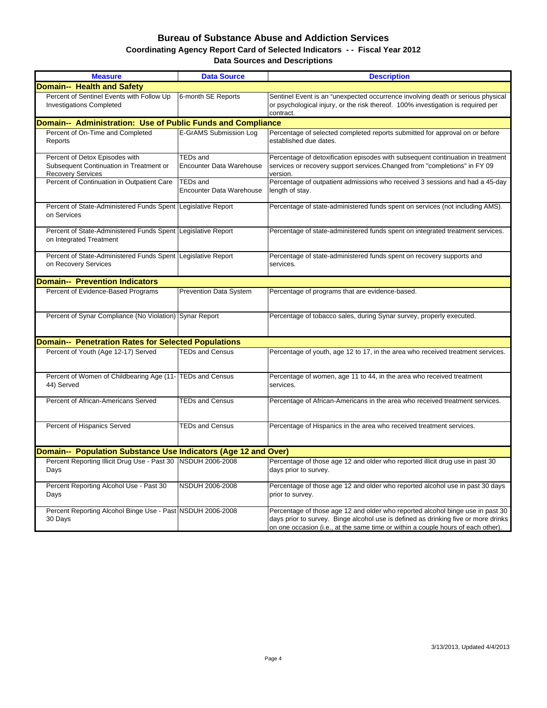#### **Bureau of Substance Abuse and Addiction Services Data Sources and Descriptions Coordinating Agency Report Card of Selected Indicators - - Fiscal Year 2012**

| <b>Measure</b>                                                                                        | <b>Data Source</b>                                 | <b>Description</b>                                                                                                                                                                                                                                       |
|-------------------------------------------------------------------------------------------------------|----------------------------------------------------|----------------------------------------------------------------------------------------------------------------------------------------------------------------------------------------------------------------------------------------------------------|
| <b>Domain-- Health and Safety</b>                                                                     |                                                    |                                                                                                                                                                                                                                                          |
| Percent of Sentinel Events with Follow Up<br><b>Investigations Completed</b>                          | 6-month SE Reports                                 | Sentinel Event is an "unexpected occurrence involving death or serious physical<br>or psychological injury, or the risk thereof. 100% investigation is required per<br>contract.                                                                         |
| Domain-- Administration: Use of Public Funds and Compliance                                           |                                                    |                                                                                                                                                                                                                                                          |
| Percent of On-Time and Completed<br>Reports                                                           | E-GrAMS Submission Log                             | Percentage of selected completed reports submitted for approval on or before<br>established due dates.                                                                                                                                                   |
| Percent of Detox Episodes with<br>Subsequent Continuation in Treatment or<br><b>Recovery Services</b> | <b>TEDs and</b><br><b>Encounter Data Warehouse</b> | Percentage of detoxification episodes with subsequent continuation in treatment<br>services or recovery support services. Changed from "completions" in FY 09<br>version.                                                                                |
| Percent of Continuation in Outpatient Care                                                            | <b>TEDs and</b><br><b>Encounter Data Warehouse</b> | Percentage of outpatient admissions who received 3 sessions and had a 45-day<br>length of stay.                                                                                                                                                          |
| Percent of State-Administered Funds Spent<br>on Services                                              | Legislative Report                                 | Percentage of state-administered funds spent on services (not including AMS).                                                                                                                                                                            |
| Percent of State-Administered Funds Spent<br>on Integrated Treatment                                  | Legislative Report                                 | Percentage of state-administered funds spent on integrated treatment services.                                                                                                                                                                           |
| Percent of State-Administered Funds Spent<br>on Recovery Services                                     | Legislative Report                                 | Percentage of state-administered funds spent on recovery supports and<br>services.                                                                                                                                                                       |
| <b>Domain-- Prevention Indicators</b>                                                                 |                                                    |                                                                                                                                                                                                                                                          |
| Percent of Evidence-Based Programs                                                                    | Prevention Data System                             | Percentage of programs that are evidence-based.                                                                                                                                                                                                          |
| Percent of Synar Compliance (No Violation) Synar Report                                               |                                                    | Percentage of tobacco sales, during Synar survey, properly executed.                                                                                                                                                                                     |
| <b>Domain-- Penetration Rates for Selected Populations</b>                                            |                                                    |                                                                                                                                                                                                                                                          |
| Percent of Youth (Age 12-17) Served                                                                   | <b>TEDs and Census</b>                             | Percentage of youth, age 12 to 17, in the area who received treatment services.                                                                                                                                                                          |
| Percent of Women of Childbearing Age (11- TEDs and Census<br>44) Served                               |                                                    | Percentage of women, age 11 to 44, in the area who received treatment<br>services.                                                                                                                                                                       |
| Percent of African-Americans Served                                                                   | <b>TEDs and Census</b>                             | Percentage of African-Americans in the area who received treatment services.                                                                                                                                                                             |
| Percent of Hispanics Served                                                                           | <b>TEDs and Census</b>                             | Percentage of Hispanics in the area who received treatment services.                                                                                                                                                                                     |
| Domain-- Population Substance Use Indicators (Age 12 and Over)                                        |                                                    |                                                                                                                                                                                                                                                          |
| Percent Reporting Illicit Drug Use - Past 30   NSDUH 2006-2008<br>Days                                |                                                    | Percentage of those age 12 and older who reported illicit drug use in past 30<br>days prior to survey.                                                                                                                                                   |
| Percent Reporting Alcohol Use - Past 30<br>Days                                                       | NSDUH 2006-2008                                    | Percentage of those age 12 and older who reported alcohol use in past 30 days<br>prior to survey.                                                                                                                                                        |
| Percent Reporting Alcohol Binge Use - Past NSDUH 2006-2008<br>30 Days                                 |                                                    | Percentage of those age 12 and older who reported alcohol binge use in past 30<br>days prior to survey. Binge alcohol use is defined as drinking five or more drinks<br>on one occasion (i.e., at the same time or within a couple hours of each other). |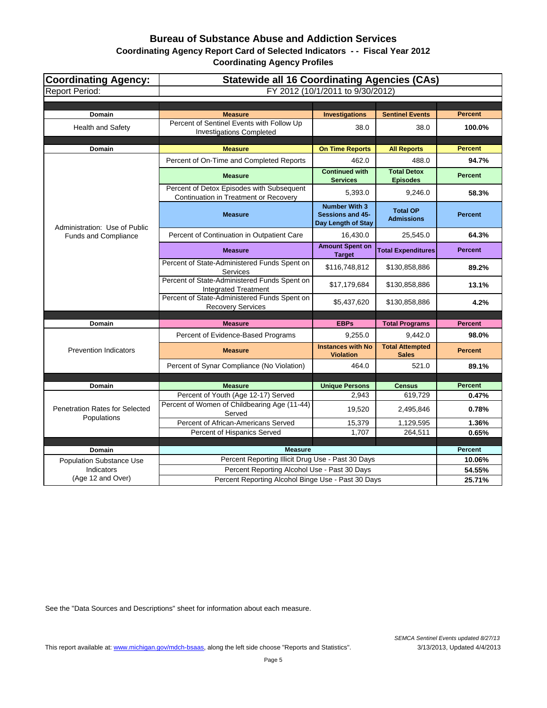# **Bureau of Substance Abuse and Addiction Services**

**Coordinating Agency Report Card of Selected Indicators - - Fiscal Year 2012**

**Coordinating Agency Profiles**

| <b>Coordinating Agency:</b>           | <b>Statewide all 16 Coordinating Agencies (CAs)</b>                                |                                                                       |                                        |                |  |  |  |
|---------------------------------------|------------------------------------------------------------------------------------|-----------------------------------------------------------------------|----------------------------------------|----------------|--|--|--|
| <b>Report Period:</b>                 | FY 2012 (10/1/2011 to 9/30/2012)                                                   |                                                                       |                                        |                |  |  |  |
|                                       |                                                                                    |                                                                       |                                        |                |  |  |  |
| Domain                                | <b>Measure</b>                                                                     | <b>Investigations</b>                                                 | <b>Sentinel Events</b>                 | <b>Percent</b> |  |  |  |
| Health and Safety                     | Percent of Sentinel Events with Follow Up<br><b>Investigations Completed</b>       | 38.0                                                                  | 38.0                                   | 100.0%         |  |  |  |
| Domain                                | <b>Measure</b>                                                                     | <b>On Time Reports</b>                                                | <b>All Reports</b>                     | <b>Percent</b> |  |  |  |
|                                       | Percent of On-Time and Completed Reports                                           | 462.0                                                                 | 488.0                                  | 94.7%          |  |  |  |
|                                       | <b>Measure</b>                                                                     | <b>Continued with</b><br><b>Services</b>                              | <b>Total Detox</b><br><b>Episodes</b>  | <b>Percent</b> |  |  |  |
|                                       | Percent of Detox Episodes with Subsequent<br>Continuation in Treatment or Recovery | 5,393.0                                                               | 9,246.0                                | 58.3%          |  |  |  |
| Administration: Use of Public         | <b>Measure</b>                                                                     | <b>Number With 3</b><br><b>Sessions and 45-</b><br>Day Length of Stay | <b>Total OP</b><br><b>Admissions</b>   | <b>Percent</b> |  |  |  |
| <b>Funds and Compliance</b>           | Percent of Continuation in Outpatient Care                                         | 16,430.0                                                              | 25,545.0                               | 64.3%          |  |  |  |
|                                       | <b>Measure</b>                                                                     | <b>Amount Spent on</b><br><b>Target</b>                               | <b>Total Expenditures</b>              | <b>Percent</b> |  |  |  |
|                                       | Percent of State-Administered Funds Spent on<br><b>Services</b>                    | \$116,748,812                                                         | \$130,858,886                          | 89.2%          |  |  |  |
|                                       | Percent of State-Administered Funds Spent on<br><b>Integrated Treatment</b>        | \$17,179,684                                                          | \$130,858,886                          | 13.1%          |  |  |  |
|                                       | Percent of State-Administered Funds Spent on<br><b>Recovery Services</b>           | \$5,437,620                                                           | \$130,858,886                          | 4.2%           |  |  |  |
|                                       | <b>Measure</b>                                                                     | <b>EBPs</b>                                                           |                                        | <b>Percent</b> |  |  |  |
| Domain                                |                                                                                    |                                                                       | <b>Total Programs</b>                  |                |  |  |  |
|                                       | Percent of Evidence-Based Programs                                                 | 9,255.0                                                               | 9,442.0                                | 98.0%          |  |  |  |
| <b>Prevention Indicators</b>          | <b>Measure</b>                                                                     | <b>Instances with No</b><br><b>Violation</b>                          | <b>Total Attempted</b><br><b>Sales</b> | <b>Percent</b> |  |  |  |
|                                       | Percent of Synar Compliance (No Violation)                                         | 464.0                                                                 | 521.0                                  | 89.1%          |  |  |  |
|                                       |                                                                                    |                                                                       |                                        | <b>Percent</b> |  |  |  |
| Domain                                | <b>Measure</b><br>Percent of Youth (Age 12-17) Served                              | <b>Unique Persons</b><br>2,943                                        | <b>Census</b><br>619,729               | 0.47%          |  |  |  |
| <b>Penetration Rates for Selected</b> | Percent of Women of Childbearing Age (11-44)                                       | 19,520                                                                | 2,495,846                              | 0.78%          |  |  |  |
| Populations                           | Served<br>Percent of African-Americans Served                                      | 15,379                                                                | 1,129,595                              | 1.36%          |  |  |  |
|                                       | Percent of Hispanics Served                                                        | 1,707                                                                 | 264,511                                | 0.65%          |  |  |  |
|                                       |                                                                                    |                                                                       |                                        |                |  |  |  |
| Domain                                | <b>Measure</b>                                                                     |                                                                       |                                        | <b>Percent</b> |  |  |  |
| <b>Population Substance Use</b>       | Percent Reporting Illicit Drug Use - Past 30 Days                                  |                                                                       |                                        | 10.06%         |  |  |  |
| Indicators                            | Percent Reporting Alcohol Use - Past 30 Days                                       |                                                                       |                                        | 54.55%         |  |  |  |
| (Age 12 and Over)                     | Percent Reporting Alcohol Binge Use - Past 30 Days                                 |                                                                       | 25.71%                                 |                |  |  |  |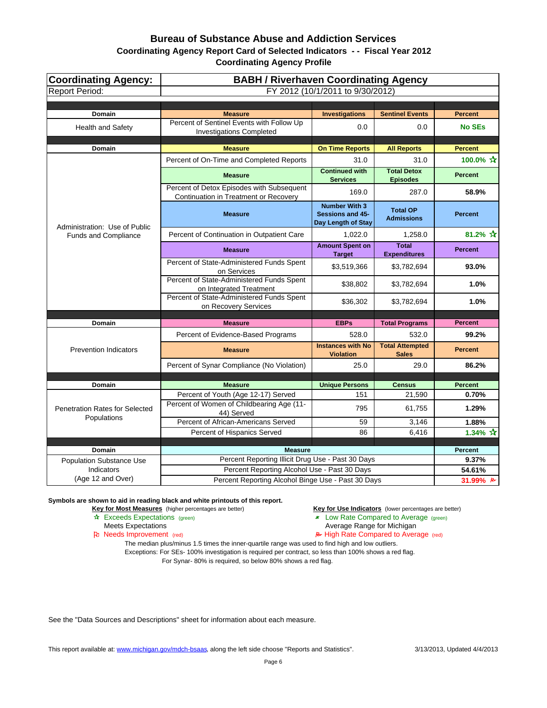| <b>Coordinating Agency:</b><br><b>Report Period:</b> | <b>BABH / Riverhaven Coordinating Agency</b><br>FY 2012 (10/1/2011 to 9/30/2012)                   |                                                                |                                        |                          |  |  |
|------------------------------------------------------|----------------------------------------------------------------------------------------------------|----------------------------------------------------------------|----------------------------------------|--------------------------|--|--|
|                                                      |                                                                                                    |                                                                |                                        |                          |  |  |
| <b>Domain</b>                                        | <b>Measure</b>                                                                                     | <b>Investigations</b>                                          | <b>Sentinel Events</b>                 | <b>Percent</b>           |  |  |
| <b>Health and Safety</b>                             | Percent of Sentinel Events with Follow Up<br><b>Investigations Completed</b>                       | 0.0                                                            | 0.0                                    | <b>No SEs</b>            |  |  |
| Domain                                               | <b>Measure</b>                                                                                     | <b>On Time Reports</b>                                         | <b>All Reports</b>                     | <b>Percent</b>           |  |  |
|                                                      | Percent of On-Time and Completed Reports                                                           | 31.0                                                           | 31.0                                   | 100.0% ☆                 |  |  |
|                                                      | <b>Measure</b>                                                                                     | <b>Continued with</b><br><b>Services</b>                       | <b>Total Detox</b><br><b>Episodes</b>  | <b>Percent</b>           |  |  |
|                                                      | Percent of Detox Episodes with Subsequent<br>Continuation in Treatment or Recovery                 | 169.0                                                          | 287.0                                  | 58.9%                    |  |  |
| Administration: Use of Public                        | <b>Measure</b>                                                                                     | <b>Number With 3</b><br>Sessions and 45-<br>Day Length of Stay | <b>Total OP</b><br><b>Admissions</b>   | <b>Percent</b>           |  |  |
| Funds and Compliance                                 | Percent of Continuation in Outpatient Care                                                         | 1,022.0                                                        | 1,258.0                                | 81.2% $\hat{\mathbf{x}}$ |  |  |
|                                                      | <b>Measure</b>                                                                                     | <b>Amount Spent on</b><br><b>Target</b>                        | <b>Total</b><br><b>Expenditures</b>    | <b>Percent</b>           |  |  |
|                                                      | Percent of State-Administered Funds Spent<br>on Services                                           | \$3,519,366                                                    | \$3,782,694                            | 93.0%                    |  |  |
|                                                      | Percent of State-Administered Funds Spent<br>on Integrated Treatment                               | \$38,802                                                       | \$3,782,694                            | 1.0%                     |  |  |
|                                                      | Percent of State-Administered Funds Spent<br>on Recovery Services                                  | \$36,302                                                       | \$3,782,694                            | 1.0%                     |  |  |
|                                                      |                                                                                                    |                                                                |                                        | <b>Percent</b>           |  |  |
| <b>Domain</b>                                        | <b>Measure</b>                                                                                     | <b>EBPs</b>                                                    | <b>Total Programs</b>                  |                          |  |  |
|                                                      | Percent of Evidence-Based Programs                                                                 | 528.0                                                          | 532.0                                  | 99.2%                    |  |  |
| <b>Prevention Indicators</b>                         | <b>Measure</b>                                                                                     | <b>Instances with No</b><br><b>Violation</b>                   | <b>Total Attempted</b><br><b>Sales</b> | <b>Percent</b>           |  |  |
|                                                      | Percent of Synar Compliance (No Violation)                                                         | 25.0                                                           | 29.0                                   | 86.2%                    |  |  |
|                                                      |                                                                                                    |                                                                |                                        |                          |  |  |
| <b>Domain</b>                                        | <b>Measure</b>                                                                                     | <b>Unique Persons</b>                                          | <b>Census</b>                          | <b>Percent</b>           |  |  |
| <b>Penetration Rates for Selected</b>                | Percent of Youth (Age 12-17) Served<br>Percent of Women of Childbearing Age (11-                   | 151<br>795                                                     | 21,590<br>61,755                       | 0.70%<br>1.29%           |  |  |
| Populations                                          | 44) Served<br>Percent of African-Americans Served                                                  | 59                                                             | 3,146                                  | 1.88%                    |  |  |
|                                                      | Percent of Hispanics Served                                                                        | 86                                                             | 6,416                                  | $1.34\% \; \; \star$     |  |  |
|                                                      |                                                                                                    |                                                                |                                        |                          |  |  |
| <b>Domain</b>                                        | <b>Measure</b>                                                                                     |                                                                |                                        | <b>Percent</b>           |  |  |
| <b>Population Substance Use</b>                      | Percent Reporting Illicit Drug Use - Past 30 Days                                                  |                                                                |                                        | 9.37%                    |  |  |
| Indicators<br>(Age 12 and Over)                      | Percent Reporting Alcohol Use - Past 30 Days<br>Percent Reporting Alcohol Binge Use - Past 30 Days |                                                                |                                        | 54.61%                   |  |  |
|                                                      |                                                                                                    |                                                                |                                        | 31.99% A                 |  |  |

**Symbols are shown to aid in reading black and white printouts of this report.**

**Key for Most Measures** (higher percentages are better) **Key for Use Indicators** (lower percentages are better)

- Exceeds Expectations (green) Low Rate Compared to Average (green)
	- Meets Expectations **Average Range for Michigan**

Needs Improvement (red) High Rate Compared to Average (red)

The median plus/minus 1.5 times the inner-quartile range was used to find high and low outliers. Exceptions: For SEs- 100% investigation is required per contract, so less than 100% shows a red flag.

For Synar- 80% is required, so below 80% shows a red flag.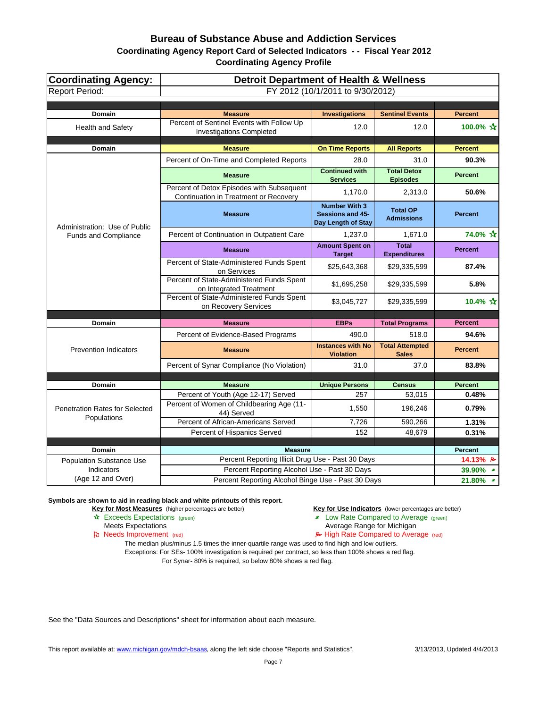| Coordinating Agency:<br><b>Report Period:</b> | <b>Detroit Department of Health &amp; Wellness</b><br>FY 2012 (10/1/2011 to 9/30/2012) |                                                                |                                       |                |  |  |
|-----------------------------------------------|----------------------------------------------------------------------------------------|----------------------------------------------------------------|---------------------------------------|----------------|--|--|
|                                               |                                                                                        |                                                                |                                       |                |  |  |
| <b>Domain</b>                                 | <b>Measure</b>                                                                         | <b>Investigations</b>                                          | <b>Sentinel Events</b>                | <b>Percent</b> |  |  |
| <b>Health and Safety</b>                      | Percent of Sentinel Events with Follow Up<br><b>Investigations Completed</b>           | 12.0                                                           | 12.0                                  | 100.0% ☆       |  |  |
| <b>Domain</b>                                 | <b>Measure</b>                                                                         | <b>On Time Reports</b>                                         | <b>All Reports</b>                    | <b>Percent</b> |  |  |
|                                               | Percent of On-Time and Completed Reports                                               | 28.0                                                           | 31.0                                  | 90.3%          |  |  |
|                                               | <b>Measure</b>                                                                         | <b>Continued with</b><br><b>Services</b>                       | <b>Total Detox</b><br><b>Episodes</b> | <b>Percent</b> |  |  |
|                                               | Percent of Detox Episodes with Subsequent<br>Continuation in Treatment or Recovery     | 1,170.0                                                        | 2,313.0                               | 50.6%          |  |  |
| Administration: Use of Public                 | <b>Measure</b>                                                                         | <b>Number With 3</b><br>Sessions and 45-<br>Day Length of Stay | <b>Total OP</b><br><b>Admissions</b>  | <b>Percent</b> |  |  |
| <b>Funds and Compliance</b>                   | Percent of Continuation in Outpatient Care                                             | 1,237.0                                                        | 1,671.0                               | 74.0% ☆        |  |  |
|                                               | <b>Measure</b>                                                                         | <b>Amount Spent on</b><br><b>Target</b>                        | <b>Total</b><br><b>Expenditures</b>   | <b>Percent</b> |  |  |
|                                               | Percent of State-Administered Funds Spent<br>on Services                               | \$25,643,368                                                   | \$29,335,599                          | 87.4%          |  |  |
|                                               | Percent of State-Administered Funds Spent<br>on Integrated Treatment                   | \$1,695,258                                                    | \$29,335,599                          | 5.8%           |  |  |
|                                               | Percent of State-Administered Funds Spent<br>on Recovery Services                      | \$3,045,727                                                    | \$29,335,599                          | 10.4% ☆        |  |  |
| Domain                                        | <b>Measure</b>                                                                         | <b>EBPs</b>                                                    | <b>Total Programs</b>                 | <b>Percent</b> |  |  |
|                                               | Percent of Evidence-Based Programs                                                     | 490.0                                                          | 518.0                                 | 94.6%          |  |  |
| <b>Prevention Indicators</b>                  | <b>Measure</b>                                                                         | <b>Instances with No</b>                                       | <b>Total Attempted</b>                | <b>Percent</b> |  |  |
|                                               | Percent of Synar Compliance (No Violation)                                             | <b>Violation</b><br>31.0                                       | <b>Sales</b>                          |                |  |  |
|                                               |                                                                                        |                                                                | 37.0                                  | 83.8%          |  |  |
| <b>Domain</b>                                 | <b>Measure</b>                                                                         | <b>Unique Persons</b>                                          | <b>Census</b>                         | <b>Percent</b> |  |  |
|                                               | Percent of Youth (Age 12-17) Served                                                    | 257                                                            | 53,015                                | 0.48%          |  |  |
| Penetration Rates for Selected                | Percent of Women of Childbearing Age (11-<br>44) Served                                | 1,550                                                          | 196,246                               | 0.79%          |  |  |
| Populations                                   | Percent of African-Americans Served                                                    | 7,726                                                          | 590,266                               | 1.31%          |  |  |
|                                               | Percent of Hispanics Served                                                            | 152                                                            | 48,679                                | 0.31%          |  |  |
| <b>Domain</b>                                 | <b>Measure</b>                                                                         |                                                                |                                       | <b>Percent</b> |  |  |
| <b>Population Substance Use</b>               | Percent Reporting Illicit Drug Use - Past 30 Days                                      |                                                                |                                       | 14.13% A       |  |  |
| Indicators                                    | Percent Reporting Alcohol Use - Past 30 Days                                           |                                                                |                                       | 39.90% *       |  |  |
| (Age 12 and Over)                             | Percent Reporting Alcohol Binge Use - Past 30 Days                                     |                                                                | 21.80% *                              |                |  |  |

**Symbols are shown to aid in reading black and white printouts of this report.**

**Key for Most Measures** (higher percentages are better) **Key for Use Indicators** (lower percentages are better)

- 
- Exceeds Expectations (green) Low Rate Compared to Average (green)
	- Meets Expectations **Average Range for Michigan**
- Pu Needs Improvement (red) **A** High Rate Compared to Average (red)

The median plus/minus 1.5 times the inner-quartile range was used to find high and low outliers. Exceptions: For SEs- 100% investigation is required per contract, so less than 100% shows a red flag.

For Synar- 80% is required, so below 80% shows a red flag.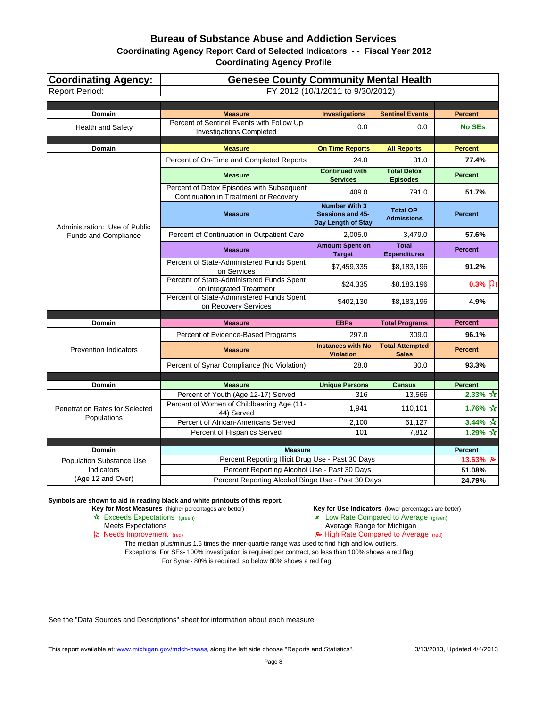| Coordinating Agency:<br><b>Report Period:</b>        | <b>Genesee County Community Mental Health</b><br>FY 2012 (10/1/2011 to 9/30/2012)  |                                                                       |                                        |                      |  |  |
|------------------------------------------------------|------------------------------------------------------------------------------------|-----------------------------------------------------------------------|----------------------------------------|----------------------|--|--|
|                                                      |                                                                                    |                                                                       |                                        |                      |  |  |
| Domain                                               | <b>Measure</b>                                                                     | <b>Investigations</b>                                                 | <b>Sentinel Events</b>                 | <b>Percent</b>       |  |  |
| <b>Health and Safety</b>                             | Percent of Sentinel Events with Follow Up<br><b>Investigations Completed</b>       | 0.0                                                                   | 0.0                                    | <b>No SEs</b>        |  |  |
| <b>Domain</b>                                        | <b>Measure</b>                                                                     | <b>On Time Reports</b>                                                | <b>All Reports</b>                     | <b>Percent</b>       |  |  |
|                                                      | Percent of On-Time and Completed Reports                                           | 24.0                                                                  | 31.0                                   | 77.4%                |  |  |
|                                                      | <b>Measure</b>                                                                     | <b>Continued with</b><br><b>Services</b>                              | <b>Total Detox</b><br><b>Episodes</b>  | <b>Percent</b>       |  |  |
|                                                      | Percent of Detox Episodes with Subsequent<br>Continuation in Treatment or Recovery | 409.0                                                                 | 791.0                                  | 51.7%                |  |  |
| Administration: Use of Public                        | <b>Measure</b>                                                                     | <b>Number With 3</b><br><b>Sessions and 45-</b><br>Day Length of Stay | <b>Total OP</b><br><b>Admissions</b>   | <b>Percent</b>       |  |  |
| <b>Funds and Compliance</b>                          | Percent of Continuation in Outpatient Care                                         | 2.005.0                                                               | 3,479.0                                | 57.6%                |  |  |
|                                                      | <b>Measure</b>                                                                     | <b>Amount Spent on</b><br><b>Target</b>                               | Total<br><b>Expenditures</b>           | <b>Percent</b>       |  |  |
|                                                      | Percent of State-Administered Funds Spent<br>on Services                           | \$7,459,335                                                           | \$8,183,196                            | 91.2%                |  |  |
|                                                      | Percent of State-Administered Funds Spent<br>on Integrated Treatment               | \$24,335                                                              | \$8,183,196                            | $0.3%$ 2             |  |  |
|                                                      | Percent of State-Administered Funds Spent<br>on Recovery Services                  | \$402,130                                                             | \$8,183,196                            | 4.9%                 |  |  |
| Domain                                               | <b>Measure</b>                                                                     | <b>EBPs</b>                                                           | <b>Total Programs</b>                  | <b>Percent</b>       |  |  |
|                                                      | Percent of Evidence-Based Programs                                                 | 297.0                                                                 | 309.0                                  | 96.1%                |  |  |
| <b>Prevention Indicators</b>                         | <b>Measure</b>                                                                     | <b>Instances with No</b><br><b>Violation</b>                          | <b>Total Attempted</b><br><b>Sales</b> | <b>Percent</b>       |  |  |
|                                                      | Percent of Synar Compliance (No Violation)                                         | 28.0                                                                  | 30.0                                   | 93.3%                |  |  |
|                                                      |                                                                                    |                                                                       |                                        |                      |  |  |
| Domain                                               | <b>Measure</b>                                                                     | <b>Unique Persons</b>                                                 | <b>Census</b>                          | <b>Percent</b>       |  |  |
|                                                      | Percent of Youth (Age 12-17) Served                                                | 316                                                                   | 13,566                                 | 2.33% $\overline{X}$ |  |  |
| <b>Penetration Rates for Selected</b><br>Populations | Percent of Women of Childbearing Age (11-<br>44) Served                            | 1,941                                                                 | 110,101                                | 1.76% $\frac{1}{11}$ |  |  |
|                                                      | Percent of African-Americans Served                                                | 2,100                                                                 | 61,127                                 | 3.44% $\hat{X}$      |  |  |
|                                                      | Percent of Hispanics Served                                                        | 101                                                                   | 7,812                                  | 1.29% $\frac{1}{11}$ |  |  |
| <b>Domain</b>                                        | <b>Measure</b>                                                                     |                                                                       |                                        | <b>Percent</b>       |  |  |
| <b>Population Substance Use</b>                      | Percent Reporting Illicit Drug Use - Past 30 Days                                  |                                                                       |                                        | 13.63% $\approx$     |  |  |
| <b>Indicators</b>                                    | Percent Reporting Alcohol Use - Past 30 Days                                       |                                                                       |                                        | 51.08%               |  |  |
| (Age 12 and Over)                                    | Percent Reporting Alcohol Binge Use - Past 30 Days                                 | 24.79%                                                                |                                        |                      |  |  |

**Symbols are shown to aid in reading black and white printouts of this report.**

**Key for Most Measures** (higher percentages are better) **Key for Use Indicators** (lower percentages are better)

- Exceeds Expectations (green) Low Rate Compared to Average (green)
	- Meets Expectations **Average Range for Michigan**

Needs Improvement (red) High Rate Compared to Average (red)

The median plus/minus 1.5 times the inner-quartile range was used to find high and low outliers. Exceptions: For SEs- 100% investigation is required per contract, so less than 100% shows a red flag.

For Synar- 80% is required, so below 80% shows a red flag.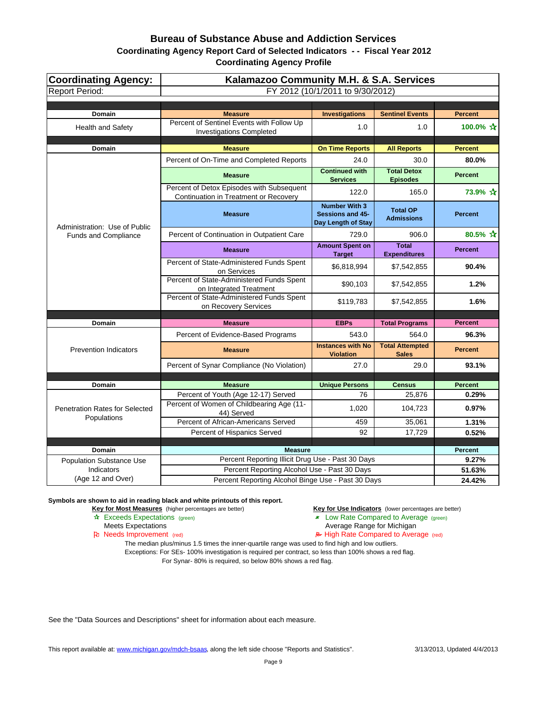| <b>Coordinating Agency:</b><br><b>Report Period:</b> | Kalamazoo Community M.H. & S.A. Services<br>FY 2012 (10/1/2011 to 9/30/2012)       |                                                                |                                        |                      |  |  |
|------------------------------------------------------|------------------------------------------------------------------------------------|----------------------------------------------------------------|----------------------------------------|----------------------|--|--|
|                                                      |                                                                                    |                                                                |                                        |                      |  |  |
| <b>Domain</b>                                        | <b>Measure</b>                                                                     | <b>Investigations</b>                                          | <b>Sentinel Events</b>                 | <b>Percent</b>       |  |  |
| <b>Health and Safety</b>                             | Percent of Sentinel Events with Follow Up<br><b>Investigations Completed</b>       | 1.0                                                            | 1.0                                    | 100.0% ☆             |  |  |
| Domain                                               | <b>Measure</b>                                                                     | <b>On Time Reports</b>                                         | <b>All Reports</b>                     | <b>Percent</b>       |  |  |
|                                                      | Percent of On-Time and Completed Reports                                           | 24.0                                                           | 30.0                                   | 80.0%                |  |  |
|                                                      | <b>Measure</b>                                                                     | <b>Continued with</b><br><b>Services</b>                       | <b>Total Detox</b><br><b>Episodes</b>  | <b>Percent</b>       |  |  |
|                                                      | Percent of Detox Episodes with Subsequent<br>Continuation in Treatment or Recovery | 122.0                                                          | 165.0                                  | 73.9% ☆              |  |  |
| Administration: Use of Public                        | <b>Measure</b>                                                                     | <b>Number With 3</b><br>Sessions and 45-<br>Day Length of Stay | <b>Total OP</b><br><b>Admissions</b>   | <b>Percent</b>       |  |  |
| Funds and Compliance                                 | Percent of Continuation in Outpatient Care                                         | 729.0                                                          | 906.0                                  | 80.5% $\frac{1}{11}$ |  |  |
|                                                      | <b>Measure</b>                                                                     | <b>Amount Spent on</b><br><b>Target</b>                        | <b>Total</b><br><b>Expenditures</b>    | <b>Percent</b>       |  |  |
|                                                      | Percent of State-Administered Funds Spent<br>on Services                           | \$6,818,994                                                    | \$7,542,855                            | 90.4%                |  |  |
|                                                      | Percent of State-Administered Funds Spent<br>on Integrated Treatment               | \$90,103                                                       | \$7,542,855                            | 1.2%                 |  |  |
|                                                      | Percent of State-Administered Funds Spent<br>on Recovery Services                  | \$119,783                                                      | \$7,542,855                            | 1.6%                 |  |  |
|                                                      |                                                                                    |                                                                |                                        | <b>Percent</b>       |  |  |
| <b>Domain</b>                                        | <b>Measure</b>                                                                     | <b>EBPs</b>                                                    | <b>Total Programs</b>                  |                      |  |  |
|                                                      | Percent of Evidence-Based Programs                                                 | 543.0                                                          | 564.0                                  | 96.3%                |  |  |
| <b>Prevention Indicators</b>                         | <b>Measure</b>                                                                     | <b>Instances with No</b><br><b>Violation</b>                   | <b>Total Attempted</b><br><b>Sales</b> | <b>Percent</b>       |  |  |
|                                                      | Percent of Synar Compliance (No Violation)                                         | 27.0                                                           | 29.0                                   | 93.1%                |  |  |
|                                                      |                                                                                    |                                                                |                                        |                      |  |  |
| <b>Domain</b>                                        | <b>Measure</b>                                                                     | <b>Unique Persons</b>                                          | <b>Census</b>                          | <b>Percent</b>       |  |  |
| <b>Penetration Rates for Selected</b>                | Percent of Youth (Age 12-17) Served<br>Percent of Women of Childbearing Age (11-   | 76<br>1,020                                                    | 25,876<br>104,723                      | 0.29%<br>0.97%       |  |  |
| Populations                                          | 44) Served<br>Percent of African-Americans Served                                  | 459                                                            | 35,061                                 |                      |  |  |
|                                                      | Percent of Hispanics Served                                                        | 92                                                             | 17,729                                 | 1.31%<br>0.52%       |  |  |
|                                                      |                                                                                    |                                                                |                                        |                      |  |  |
| <b>Domain</b>                                        | <b>Measure</b>                                                                     |                                                                |                                        | <b>Percent</b>       |  |  |
| <b>Population Substance Use</b>                      | Percent Reporting Illicit Drug Use - Past 30 Days                                  |                                                                |                                        | 9.27%                |  |  |
| Indicators<br>(Age 12 and Over)                      | Percent Reporting Alcohol Use - Past 30 Days                                       |                                                                |                                        | 51.63%               |  |  |
|                                                      | Percent Reporting Alcohol Binge Use - Past 30 Days                                 | 24.42%                                                         |                                        |                      |  |  |

**Symbols are shown to aid in reading black and white printouts of this report.**

**Key for Most Measures** (higher percentages are better) **Key for Use Indicators** (lower percentages are better)

Exceeds Expectations (green) Low Rate Compared to Average (green)

- Meets Expectations **Average Range for Michigan**
- Needs Improvement (red) High Rate Compared to Average (red)

The median plus/minus 1.5 times the inner-quartile range was used to find high and low outliers. Exceptions: For SEs- 100% investigation is required per contract, so less than 100% shows a red flag.

For Synar- 80% is required, so below 80% shows a red flag.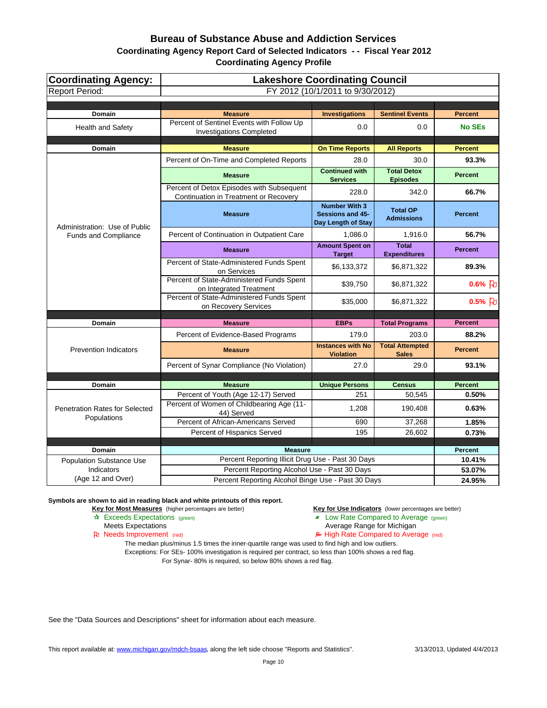| <b>Coordinating Agency:</b><br><b>Report Period:</b> | <b>Lakeshore Coordinating Council</b><br>FY 2012 (10/1/2011 to 9/30/2012)          |                                                                       |                                        |                |  |  |
|------------------------------------------------------|------------------------------------------------------------------------------------|-----------------------------------------------------------------------|----------------------------------------|----------------|--|--|
|                                                      |                                                                                    |                                                                       |                                        |                |  |  |
| Domain                                               | <b>Measure</b>                                                                     | <b>Investigations</b>                                                 | <b>Sentinel Events</b>                 | <b>Percent</b> |  |  |
| <b>Health and Safety</b>                             | Percent of Sentinel Events with Follow Up<br><b>Investigations Completed</b>       | 0.0                                                                   | 0.0                                    | <b>No SEs</b>  |  |  |
| Domain                                               | <b>Measure</b>                                                                     | <b>On Time Reports</b>                                                | <b>All Reports</b>                     | <b>Percent</b> |  |  |
|                                                      | Percent of On-Time and Completed Reports                                           | 28.0                                                                  | 30.0                                   | 93.3%          |  |  |
|                                                      | <b>Measure</b>                                                                     | <b>Continued with</b><br><b>Services</b>                              | <b>Total Detox</b><br><b>Episodes</b>  | <b>Percent</b> |  |  |
|                                                      | Percent of Detox Episodes with Subsequent<br>Continuation in Treatment or Recovery | 228.0                                                                 | 342.0                                  | 66.7%          |  |  |
| Administration: Use of Public                        | <b>Measure</b>                                                                     | <b>Number With 3</b><br><b>Sessions and 45-</b><br>Day Length of Stay | <b>Total OP</b><br><b>Admissions</b>   | <b>Percent</b> |  |  |
| Funds and Compliance                                 | Percent of Continuation in Outpatient Care                                         | 1,086.0                                                               | 1,916.0                                | 56.7%          |  |  |
|                                                      | <b>Measure</b>                                                                     | <b>Amount Spent on</b><br><b>Target</b>                               | <b>Total</b><br><b>Expenditures</b>    | <b>Percent</b> |  |  |
|                                                      | Percent of State-Administered Funds Spent<br>on Services                           | \$6,133,372                                                           | \$6,871,322                            | 89.3%          |  |  |
|                                                      | Percent of State-Administered Funds Spent<br>on Integrated Treatment               | \$39,750                                                              | \$6,871,322                            | $0.6%$ 7       |  |  |
|                                                      | Percent of State-Administered Funds Spent<br>on Recovery Services                  | \$35,000                                                              | \$6,871,322                            | $0.5%$ 7       |  |  |
| Domain                                               | <b>Measure</b>                                                                     | <b>EBPs</b>                                                           | <b>Total Programs</b>                  | <b>Percent</b> |  |  |
|                                                      | Percent of Evidence-Based Programs                                                 | 179.0                                                                 | 203.0                                  | 88.2%          |  |  |
| <b>Prevention Indicators</b>                         | <b>Measure</b>                                                                     | <b>Instances with No</b><br><b>Violation</b>                          | <b>Total Attempted</b><br><b>Sales</b> | <b>Percent</b> |  |  |
|                                                      | Percent of Synar Compliance (No Violation)                                         | 27.0                                                                  | 29.0                                   | 93.1%          |  |  |
|                                                      |                                                                                    |                                                                       |                                        |                |  |  |
| Domain                                               | <b>Measure</b>                                                                     | <b>Unique Persons</b>                                                 | <b>Census</b>                          | <b>Percent</b> |  |  |
|                                                      | Percent of Youth (Age 12-17) Served                                                | 251                                                                   | 50,545                                 | 0.50%          |  |  |
| <b>Penetration Rates for Selected</b><br>Populations | Percent of Women of Childbearing Age (11-<br>44) Served                            | 1,208                                                                 | 190,408                                | 0.63%          |  |  |
|                                                      | Percent of African-Americans Served                                                | 690                                                                   | 37,268                                 | 1.85%          |  |  |
|                                                      | Percent of Hispanics Served                                                        | 195                                                                   | 26,602                                 | 0.73%          |  |  |
| Domain                                               | <b>Measure</b>                                                                     |                                                                       |                                        | <b>Percent</b> |  |  |
| <b>Population Substance Use</b>                      | Percent Reporting Illicit Drug Use - Past 30 Days                                  |                                                                       |                                        | 10.41%         |  |  |
| <b>Indicators</b>                                    | Percent Reporting Alcohol Use - Past 30 Days                                       |                                                                       |                                        | 53.07%         |  |  |
| (Age 12 and Over)                                    | Percent Reporting Alcohol Binge Use - Past 30 Days                                 | 24.95%                                                                |                                        |                |  |  |

**Symbols are shown to aid in reading black and white printouts of this report.**

**Key for Most Measures** (higher percentages are better) **Key for Use Indicators** (lower percentages are better)

- **A** Exceeds Expectations (green) **Low Rate Compared to Average (green)** Meets Expectations (green) **Low Rate Compared to Average (green)** 
	- Average Range for Michigan

Pu Needs Improvement (red) **A** High Rate Compared to Average (red)

The median plus/minus 1.5 times the inner-quartile range was used to find high and low outliers. Exceptions: For SEs- 100% investigation is required per contract, so less than 100% shows a red flag. For Synar- 80% is required, so below 80% shows a red flag.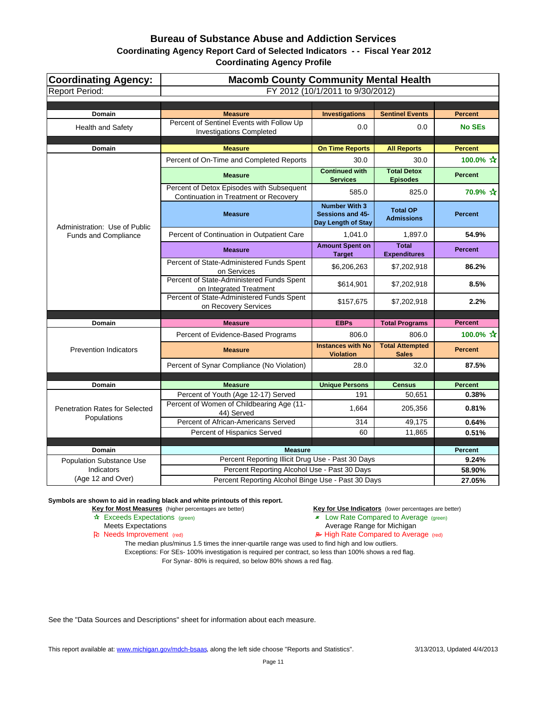| <b>Coordinating Agency:</b><br><b>Report Period:</b> | <b>Macomb County Community Mental Health</b><br>FY 2012 (10/1/2011 to 9/30/2012)   |                                                                |                                        |                           |
|------------------------------------------------------|------------------------------------------------------------------------------------|----------------------------------------------------------------|----------------------------------------|---------------------------|
|                                                      |                                                                                    |                                                                |                                        |                           |
| Domain                                               | <b>Measure</b>                                                                     | <b>Investigations</b>                                          | <b>Sentinel Events</b>                 | <b>Percent</b>            |
| Health and Safety                                    | Percent of Sentinel Events with Follow Up<br><b>Investigations Completed</b>       | 0.0                                                            | 0.0                                    | <b>No SEs</b>             |
| <b>Domain</b>                                        | <b>Measure</b>                                                                     | <b>On Time Reports</b>                                         | <b>All Reports</b>                     | <b>Percent</b>            |
|                                                      | Percent of On-Time and Completed Reports                                           | 30.0                                                           | 30.0                                   | 100.0% ☆                  |
|                                                      | <b>Measure</b>                                                                     | <b>Continued with</b><br><b>Services</b>                       | <b>Total Detox</b><br><b>Episodes</b>  | <b>Percent</b>            |
|                                                      | Percent of Detox Episodes with Subsequent<br>Continuation in Treatment or Recovery | 585.0                                                          | 825.0                                  | 70.9% ☆                   |
| Administration: Use of Public                        | <b>Measure</b>                                                                     | <b>Number With 3</b><br>Sessions and 45-<br>Day Length of Stay | <b>Total OP</b><br><b>Admissions</b>   | <b>Percent</b>            |
| <b>Funds and Compliance</b>                          | Percent of Continuation in Outpatient Care                                         | 1,041.0                                                        | 1,897.0                                | 54.9%                     |
|                                                      | <b>Measure</b>                                                                     | <b>Amount Spent on</b><br><b>Target</b>                        | <b>Total</b><br><b>Expenditures</b>    | <b>Percent</b>            |
|                                                      | Percent of State-Administered Funds Spent<br>on Services                           | \$6,206,263                                                    | \$7,202,918                            | 86.2%                     |
|                                                      | Percent of State-Administered Funds Spent<br>on Integrated Treatment               | \$614,901                                                      | \$7,202,918                            | 8.5%                      |
|                                                      | Percent of State-Administered Funds Spent<br>on Recovery Services                  | \$157,675                                                      | \$7,202,918                            | 2.2%                      |
|                                                      |                                                                                    |                                                                |                                        |                           |
| Domain                                               | <b>Measure</b>                                                                     | <b>EBPs</b>                                                    | <b>Total Programs</b>                  | <b>Percent</b>            |
|                                                      | Percent of Evidence-Based Programs                                                 | 806.0                                                          | 806.0                                  | 100.0% $\mathbf{\hat{x}}$ |
| <b>Prevention Indicators</b>                         | <b>Measure</b>                                                                     | <b>Instances with No</b><br><b>Violation</b>                   | <b>Total Attempted</b><br><b>Sales</b> | <b>Percent</b>            |
|                                                      | Percent of Synar Compliance (No Violation)                                         | 28.0                                                           | 32.0                                   | 87.5%                     |
|                                                      |                                                                                    |                                                                |                                        |                           |
| <b>Domain</b>                                        | <b>Measure</b><br>Percent of Youth (Age 12-17) Served                              | <b>Unique Persons</b><br>191                                   | <b>Census</b><br>50,651                | <b>Percent</b><br>0.38%   |
| <b>Penetration Rates for Selected</b>                | Percent of Women of Childbearing Age (11-<br>44) Served                            | 1,664                                                          | 205,356                                | 0.81%                     |
| Populations                                          | Percent of African-Americans Served                                                | 314                                                            | 49,175                                 | 0.64%                     |
|                                                      | Percent of Hispanics Served                                                        | 60                                                             | 11,865                                 | 0.51%                     |
| Domain                                               | <b>Measure</b>                                                                     |                                                                |                                        | <b>Percent</b>            |
| <b>Population Substance Use</b>                      | Percent Reporting Illicit Drug Use - Past 30 Days                                  |                                                                |                                        | 9.24%                     |
| Indicators                                           | Percent Reporting Alcohol Use - Past 30 Days                                       |                                                                |                                        | 58.90%                    |
| (Age 12 and Over)                                    | Percent Reporting Alcohol Binge Use - Past 30 Days                                 |                                                                |                                        | 27.05%                    |

**Symbols are shown to aid in reading black and white printouts of this report.**

**Key for Most Measures** (higher percentages are better) **Key for Use Indicators** (lower percentages are better)

**A** Exceeds Expectations (green) **Low Rate Compared to Average (green)** Meets Expectations (green) **Low Rate Compared to Average (green)** 

- Average Range for Michigan
- Pu Needs Improvement (red) **A** High Rate Compared to Average (red)

The median plus/minus 1.5 times the inner-quartile range was used to find high and low outliers. Exceptions: For SEs- 100% investigation is required per contract, so less than 100% shows a red flag.

For Synar- 80% is required, so below 80% shows a red flag.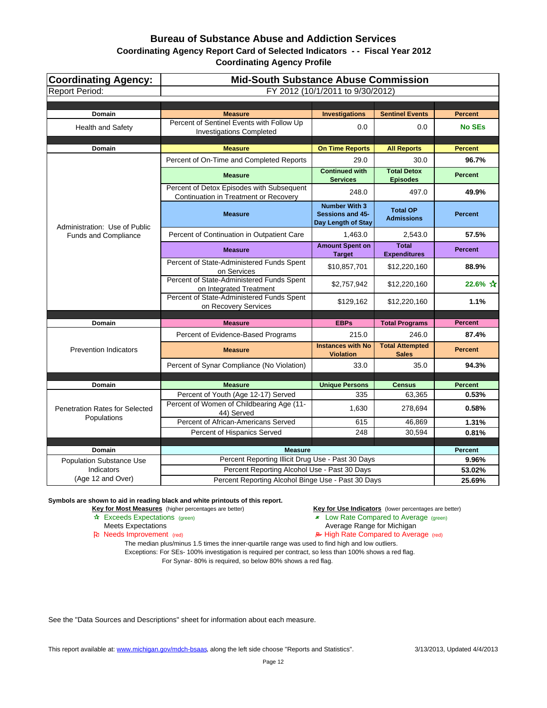| Coordinating Agency:<br><b>Report Period:</b>        | <b>Mid-South Substance Abuse Commission</b><br>FY 2012 (10/1/2011 to 9/30/2012)    |                                                                |                                       |                |
|------------------------------------------------------|------------------------------------------------------------------------------------|----------------------------------------------------------------|---------------------------------------|----------------|
|                                                      |                                                                                    |                                                                |                                       |                |
| Domain                                               | <b>Measure</b>                                                                     | <b>Investigations</b>                                          | <b>Sentinel Events</b>                | <b>Percent</b> |
| <b>Health and Safety</b>                             | Percent of Sentinel Events with Follow Up<br><b>Investigations Completed</b>       | 0.0                                                            | 0.0                                   | <b>No SEs</b>  |
| <b>Domain</b>                                        | <b>Measure</b>                                                                     | <b>On Time Reports</b>                                         | <b>All Reports</b>                    | <b>Percent</b> |
|                                                      | Percent of On-Time and Completed Reports                                           | 29.0                                                           | 30.0                                  | 96.7%          |
|                                                      | <b>Measure</b>                                                                     | <b>Continued with</b><br><b>Services</b>                       | <b>Total Detox</b><br><b>Episodes</b> | <b>Percent</b> |
|                                                      | Percent of Detox Episodes with Subsequent<br>Continuation in Treatment or Recovery | 248.0                                                          | 497.0                                 | 49.9%          |
| Administration: Use of Public                        | <b>Measure</b>                                                                     | <b>Number With 3</b><br>Sessions and 45-<br>Day Length of Stay | <b>Total OP</b><br><b>Admissions</b>  | <b>Percent</b> |
| <b>Funds and Compliance</b>                          | Percent of Continuation in Outpatient Care                                         | 1.463.0                                                        | 2,543.0                               | 57.5%          |
|                                                      | <b>Measure</b>                                                                     | <b>Amount Spent on</b><br><b>Target</b>                        | <b>Total</b><br><b>Expenditures</b>   | <b>Percent</b> |
|                                                      | Percent of State-Administered Funds Spent<br>on Services                           | \$10,857,701                                                   | \$12,220,160                          | 88.9%          |
|                                                      | Percent of State-Administered Funds Spent<br>on Integrated Treatment               | \$2,757,942                                                    | \$12,220,160                          | 22.6% ☆        |
|                                                      | Percent of State-Administered Funds Spent<br>on Recovery Services                  | \$129,162                                                      | \$12,220,160                          | 1.1%           |
| Domain                                               | <b>Measure</b>                                                                     | <b>EBPs</b>                                                    |                                       | <b>Percent</b> |
|                                                      | Percent of Evidence-Based Programs                                                 | 215.0                                                          | <b>Total Programs</b><br>246.0        | 87.4%          |
| <b>Prevention Indicators</b>                         | <b>Measure</b>                                                                     | <b>Instances with No</b>                                       | <b>Total Attempted</b>                | <b>Percent</b> |
|                                                      |                                                                                    | <b>Violation</b>                                               | <b>Sales</b><br>35.0                  |                |
|                                                      | Percent of Synar Compliance (No Violation)                                         | 33.0                                                           |                                       | 94.3%          |
| <b>Domain</b>                                        | <b>Measure</b>                                                                     | <b>Unique Persons</b>                                          | <b>Census</b>                         | <b>Percent</b> |
|                                                      | Percent of Youth (Age 12-17) Served                                                | 335                                                            | 63,365                                | 0.53%          |
| <b>Penetration Rates for Selected</b><br>Populations | Percent of Women of Childbearing Age (11-<br>44) Served                            | 1,630                                                          | 278,694                               | 0.58%          |
|                                                      | Percent of African-Americans Served                                                | 615                                                            | 46,869                                | 1.31%          |
|                                                      | Percent of Hispanics Served                                                        | 248                                                            | 30,594                                | 0.81%          |
| Domain                                               | <b>Measure</b>                                                                     |                                                                |                                       | Percent        |
| <b>Population Substance Use</b>                      | Percent Reporting Illicit Drug Use - Past 30 Days                                  |                                                                |                                       | 9.96%          |
| Indicators                                           | Percent Reporting Alcohol Use - Past 30 Days                                       |                                                                |                                       | 53.02%         |
| (Age 12 and Over)                                    | Percent Reporting Alcohol Binge Use - Past 30 Days                                 |                                                                |                                       | 25.69%         |

#### **Symbols are shown to aid in reading black and white printouts of this report.**

**Key for Most Measures** (higher percentages are better) **Key for Use Indicators** (lower percentages are better)

- **A** Exceeds Expectations (green) **Low Rate Compared to Average (green)** Meets Expectations (green) **Low Rate Compared to Average (green)** 
	- Average Range for Michigan

Pu Needs Improvement (red) **A** High Rate Compared to Average (red)

The median plus/minus 1.5 times the inner-quartile range was used to find high and low outliers. Exceptions: For SEs- 100% investigation is required per contract, so less than 100% shows a red flag. For Synar- 80% is required, so below 80% shows a red flag.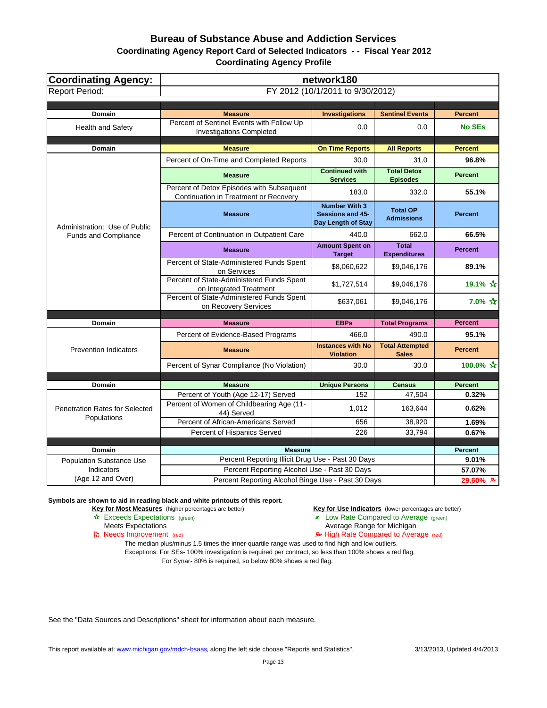| <b>Coordinating Agency:</b>           | network180                                                                         |                                                                |                                        |                |
|---------------------------------------|------------------------------------------------------------------------------------|----------------------------------------------------------------|----------------------------------------|----------------|
| <b>Report Period:</b>                 | FY 2012 (10/1/2011 to 9/30/2012)                                                   |                                                                |                                        |                |
|                                       |                                                                                    |                                                                |                                        |                |
| Domain                                | <b>Measure</b>                                                                     | <b>Investigations</b>                                          | <b>Sentinel Events</b>                 | <b>Percent</b> |
| <b>Health and Safety</b>              | Percent of Sentinel Events with Follow Up<br><b>Investigations Completed</b>       | 0.0                                                            | 0.0                                    | <b>No SEs</b>  |
| Domain                                | <b>Measure</b>                                                                     | <b>On Time Reports</b>                                         | <b>All Reports</b>                     | <b>Percent</b> |
|                                       | Percent of On-Time and Completed Reports                                           | 30.0                                                           | 31.0                                   | 96.8%          |
|                                       | <b>Measure</b>                                                                     | <b>Continued with</b><br><b>Services</b>                       | <b>Total Detox</b><br><b>Episodes</b>  | <b>Percent</b> |
|                                       | Percent of Detox Episodes with Subsequent<br>Continuation in Treatment or Recovery | 183.0                                                          | 332.0                                  | 55.1%          |
| Administration: Use of Public         | <b>Measure</b>                                                                     | <b>Number With 3</b><br>Sessions and 45-<br>Day Length of Stay | <b>Total OP</b><br><b>Admissions</b>   | <b>Percent</b> |
| Funds and Compliance                  | Percent of Continuation in Outpatient Care                                         | 440.0                                                          | 662.0                                  | 66.5%          |
|                                       | <b>Measure</b>                                                                     | <b>Amount Spent on</b><br><b>Target</b>                        | <b>Total</b><br><b>Expenditures</b>    | <b>Percent</b> |
|                                       | Percent of State-Administered Funds Spent<br>on Services                           | \$8,060,622                                                    | \$9,046,176                            | 89.1%          |
|                                       | Percent of State-Administered Funds Spent<br>on Integrated Treatment               | \$1,727,514                                                    | \$9,046,176                            | 19.1% ☆        |
|                                       | Percent of State-Administered Funds Spent<br>on Recovery Services                  | \$637,061                                                      | \$9,046,176                            | 7.0% ☆         |
|                                       |                                                                                    |                                                                |                                        |                |
| Domain                                | <b>Measure</b>                                                                     | <b>EBPs</b>                                                    | <b>Total Programs</b>                  | <b>Percent</b> |
|                                       | Percent of Evidence-Based Programs                                                 | 466.0                                                          | 490.0                                  | 95.1%          |
| <b>Prevention Indicators</b>          | <b>Measure</b>                                                                     | <b>Instances with No</b><br><b>Violation</b>                   | <b>Total Attempted</b><br><b>Sales</b> | <b>Percent</b> |
|                                       | Percent of Synar Compliance (No Violation)                                         | 30.0                                                           | 30.0                                   | 100.0% ☆       |
|                                       |                                                                                    |                                                                |                                        |                |
| Domain                                | <b>Measure</b>                                                                     | <b>Unique Persons</b>                                          | <b>Census</b>                          | <b>Percent</b> |
| <b>Penetration Rates for Selected</b> | Percent of Youth (Age 12-17) Served<br>Percent of Women of Childbearing Age (11-   | 152<br>1,012                                                   | 47,504<br>163,644                      | 0.32%<br>0.62% |
| Populations                           | 44) Served                                                                         |                                                                |                                        |                |
|                                       | Percent of African-Americans Served                                                | 656                                                            | 38,920                                 | 1.69%<br>0.67% |
|                                       | Percent of Hispanics Served                                                        | 226                                                            | 33,794                                 |                |
| <b>Domain</b>                         | <b>Measure</b>                                                                     |                                                                |                                        | <b>Percent</b> |
| <b>Population Substance Use</b>       | Percent Reporting Illicit Drug Use - Past 30 Days                                  |                                                                |                                        | 9.01%          |
| <b>Indicators</b>                     | Percent Reporting Alcohol Use - Past 30 Days                                       |                                                                |                                        | 57.07%         |
| (Age 12 and Over)                     | Percent Reporting Alcohol Binge Use - Past 30 Days                                 |                                                                |                                        | 29.60% B       |

**Symbols are shown to aid in reading black and white printouts of this report.**

**Key for Most Measures** (higher percentages are better) **Key for Use Indicators** (lower percentages are better)

- **A** Exceeds Expectations (green) **Low Rate Compared to Average (green)** Meets Expectations (green) **Low Rate Compared to Average (green)** 
	- Average Range for Michigan

Pu Needs Improvement (red) **A** High Rate Compared to Average (red)

The median plus/minus 1.5 times the inner-quartile range was used to find high and low outliers. Exceptions: For SEs- 100% investigation is required per contract, so less than 100% shows a red flag.

For Synar- 80% is required, so below 80% shows a red flag.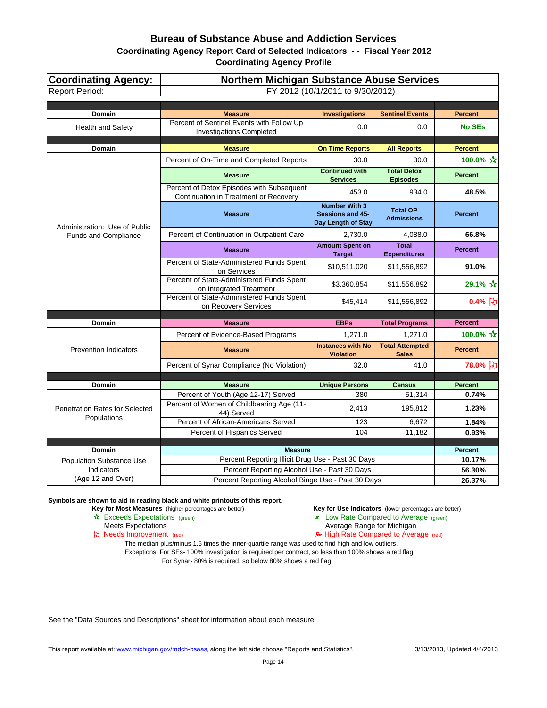| <b>Coordinating Agency:</b><br><b>Report Period:</b> | <b>Northern Michigan Substance Abuse Services</b><br>FY 2012 (10/1/2011 to 9/30/2012) |                                                                       |                                        |                |
|------------------------------------------------------|---------------------------------------------------------------------------------------|-----------------------------------------------------------------------|----------------------------------------|----------------|
|                                                      |                                                                                       |                                                                       |                                        |                |
| <b>Domain</b>                                        | <b>Measure</b>                                                                        | <b>Investigations</b>                                                 | <b>Sentinel Events</b>                 | <b>Percent</b> |
| <b>Health and Safety</b>                             | Percent of Sentinel Events with Follow Up<br><b>Investigations Completed</b>          | 0.0                                                                   | 0.0                                    | <b>No SEs</b>  |
| Domain                                               | <b>Measure</b>                                                                        | <b>On Time Reports</b>                                                | <b>All Reports</b>                     | <b>Percent</b> |
|                                                      | Percent of On-Time and Completed Reports                                              | 30.0                                                                  | 30.0                                   | 100.0% ☆       |
|                                                      | <b>Measure</b>                                                                        | <b>Continued with</b><br><b>Services</b>                              | <b>Total Detox</b><br><b>Episodes</b>  | <b>Percent</b> |
|                                                      | Percent of Detox Episodes with Subsequent<br>Continuation in Treatment or Recovery    | 453.0                                                                 | 934.0                                  | 48.5%          |
| Administration: Use of Public                        | <b>Measure</b>                                                                        | <b>Number With 3</b><br><b>Sessions and 45-</b><br>Day Length of Stay | <b>Total OP</b><br><b>Admissions</b>   | <b>Percent</b> |
| Funds and Compliance                                 | Percent of Continuation in Outpatient Care                                            | 2,730.0                                                               | 4,088.0                                | 66.8%          |
|                                                      | <b>Measure</b>                                                                        | <b>Amount Spent on</b><br><b>Target</b>                               | <b>Total</b><br><b>Expenditures</b>    | <b>Percent</b> |
|                                                      | Percent of State-Administered Funds Spent<br>on Services                              | \$10,511,020                                                          | \$11,556,892                           | 91.0%          |
|                                                      | Percent of State-Administered Funds Spent<br>on Integrated Treatment                  | \$3,360,854                                                           | \$11,556,892                           | 29.1% ☆        |
|                                                      | Percent of State-Administered Funds Spent<br>on Recovery Services                     | \$45,414                                                              | \$11,556,892                           | $0.4%$ 7       |
| Domain                                               | <b>Measure</b>                                                                        | <b>EBPs</b>                                                           | <b>Total Programs</b>                  | <b>Percent</b> |
|                                                      | Percent of Evidence-Based Programs                                                    | 1,271.0                                                               | 1,271.0                                | 100.0% ☆       |
| <b>Prevention Indicators</b>                         | <b>Measure</b>                                                                        | <b>Instances with No</b><br><b>Violation</b>                          | <b>Total Attempted</b><br><b>Sales</b> | <b>Percent</b> |
|                                                      | Percent of Synar Compliance (No Violation)                                            | 32.0                                                                  | 41.0                                   | 78.0% }        |
|                                                      |                                                                                       |                                                                       |                                        |                |
| <b>Domain</b>                                        | <b>Measure</b>                                                                        | <b>Unique Persons</b>                                                 | <b>Census</b>                          | <b>Percent</b> |
|                                                      | Percent of Youth (Age 12-17) Served                                                   | 380                                                                   | 51,314                                 | 0.74%          |
| <b>Penetration Rates for Selected</b><br>Populations | Percent of Women of Childbearing Age (11-<br>44) Served                               | 2,413                                                                 | 195,812                                | 1.23%          |
|                                                      | Percent of African-Americans Served                                                   | 123                                                                   | 6,672                                  | 1.84%          |
|                                                      | Percent of Hispanics Served                                                           | 104                                                                   | 11,182                                 | 0.93%          |
| <b>Domain</b>                                        | <b>Measure</b>                                                                        |                                                                       |                                        | <b>Percent</b> |
| <b>Population Substance Use</b>                      | Percent Reporting Illicit Drug Use - Past 30 Days                                     |                                                                       |                                        | 10.17%         |
| Indicators                                           | Percent Reporting Alcohol Use - Past 30 Days                                          |                                                                       |                                        | 56.30%         |
| (Age 12 and Over)                                    | Percent Reporting Alcohol Binge Use - Past 30 Days                                    |                                                                       |                                        | 26.37%         |

**Symbols are shown to aid in reading black and white printouts of this report.**

**Key for Most Measures** (higher percentages are better) **Key for Use Indicators** (lower percentages are better)

**A** Exceeds Expectations (green) **Low Rate Compared to Average (green)** Meets Expectations (green) **Low Rate Compared to Average (green)** 

- - Average Range for Michigan
- Pu Needs Improvement (red) **A** High Rate Compared to Average (red)

The median plus/minus 1.5 times the inner-quartile range was used to find high and low outliers. Exceptions: For SEs- 100% investigation is required per contract, so less than 100% shows a red flag. For Synar- 80% is required, so below 80% shows a red flag.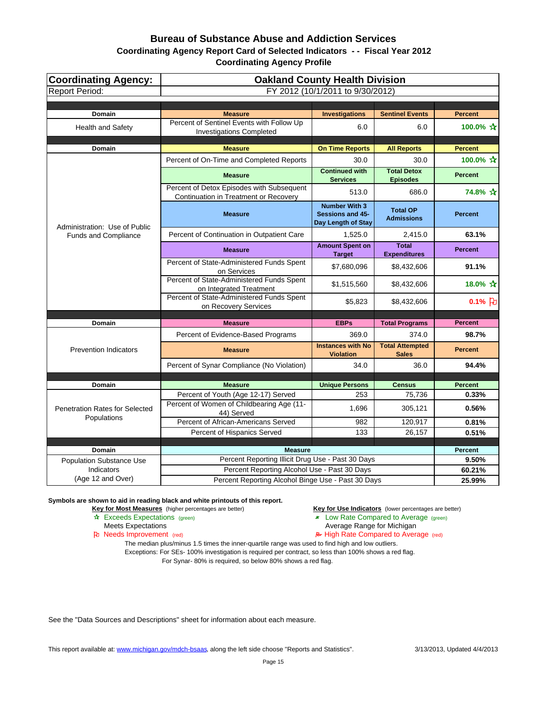| <b>Coordinating Agency:</b><br><b>Report Period:</b> | <b>Oakland County Health Division</b><br>FY 2012 (10/1/2011 to 9/30/2012)          |                                                                |                                        |                     |
|------------------------------------------------------|------------------------------------------------------------------------------------|----------------------------------------------------------------|----------------------------------------|---------------------|
|                                                      |                                                                                    |                                                                |                                        |                     |
| <b>Domain</b>                                        | <b>Measure</b>                                                                     | <b>Investigations</b>                                          | <b>Sentinel Events</b>                 | <b>Percent</b>      |
| <b>Health and Safety</b>                             | Percent of Sentinel Events with Follow Up<br><b>Investigations Completed</b>       | 6.0                                                            | 6.0                                    | 100.0% ☆            |
| Domain                                               | <b>Measure</b>                                                                     | <b>On Time Reports</b>                                         | <b>All Reports</b>                     | <b>Percent</b>      |
|                                                      | Percent of On-Time and Completed Reports                                           | 30.0                                                           | 30.0                                   | 100.0% ☆            |
|                                                      | <b>Measure</b>                                                                     | <b>Continued with</b><br><b>Services</b>                       | <b>Total Detox</b><br><b>Episodes</b>  | <b>Percent</b>      |
|                                                      | Percent of Detox Episodes with Subsequent<br>Continuation in Treatment or Recovery | 513.0                                                          | 686.0                                  | 74.8% ☆             |
| Administration: Use of Public                        | <b>Measure</b>                                                                     | <b>Number With 3</b><br>Sessions and 45-<br>Day Length of Stay | <b>Total OP</b><br><b>Admissions</b>   | <b>Percent</b>      |
| Funds and Compliance                                 | Percent of Continuation in Outpatient Care                                         | 1,525.0                                                        | 2,415.0                                | 63.1%               |
|                                                      | <b>Measure</b>                                                                     | <b>Amount Spent on</b><br><b>Target</b>                        | <b>Total</b><br><b>Expenditures</b>    | <b>Percent</b>      |
|                                                      | Percent of State-Administered Funds Spent<br>on Services                           | \$7,680,096                                                    | \$8,432,606                            | 91.1%               |
|                                                      | Percent of State-Administered Funds Spent<br>on Integrated Treatment               | \$1,515,560                                                    | \$8,432,606                            | 18.0% ☆             |
|                                                      | Percent of State-Administered Funds Spent<br>on Recovery Services                  | \$5,823                                                        | \$8,432,606                            | $0.1%$ <sub>2</sub> |
| Domain                                               | <b>Measure</b>                                                                     | <b>EBPs</b>                                                    | <b>Total Programs</b>                  | <b>Percent</b>      |
|                                                      | Percent of Evidence-Based Programs                                                 | 369.0                                                          | 374.0                                  | 98.7%               |
| <b>Prevention Indicators</b>                         | <b>Measure</b>                                                                     | <b>Instances with No</b><br><b>Violation</b>                   | <b>Total Attempted</b><br><b>Sales</b> | <b>Percent</b>      |
|                                                      | Percent of Synar Compliance (No Violation)                                         | 34.0                                                           | 36.0                                   | 94.4%               |
|                                                      |                                                                                    |                                                                |                                        |                     |
| Domain                                               | <b>Measure</b>                                                                     | <b>Unique Persons</b>                                          | <b>Census</b>                          | <b>Percent</b>      |
|                                                      | Percent of Youth (Age 12-17) Served                                                | 253                                                            | 75,736                                 | 0.33%               |
| <b>Penetration Rates for Selected</b><br>Populations | Percent of Women of Childbearing Age (11-<br>44) Served                            | 1,696                                                          | 305,121                                | 0.56%               |
|                                                      | Percent of African-Americans Served                                                | 982                                                            | 120,917                                | 0.81%               |
|                                                      | Percent of Hispanics Served                                                        | 133                                                            | 26,157                                 | 0.51%               |
| Domain                                               | <b>Measure</b>                                                                     |                                                                |                                        | <b>Percent</b>      |
| <b>Population Substance Use</b>                      | Percent Reporting Illicit Drug Use - Past 30 Days                                  |                                                                |                                        | 9.50%               |
| <b>Indicators</b>                                    | Percent Reporting Alcohol Use - Past 30 Days                                       |                                                                |                                        | 60.21%              |
| (Age 12 and Over)                                    | Percent Reporting Alcohol Binge Use - Past 30 Days                                 |                                                                |                                        | 25.99%              |

**Symbols are shown to aid in reading black and white printouts of this report.**

**Key for Most Measures** (higher percentages are better) **Key for Use Indicators** (lower percentages are better)

- **A** Exceeds Expectations (green) **Low Rate Compared to Average (green)** Meets Expectations (green) **Low Rate Compared to Average (green)** 
	- Average Range for Michigan
- Pu Needs Improvement (red) **A** High Rate Compared to Average (red)

The median plus/minus 1.5 times the inner-quartile range was used to find high and low outliers. Exceptions: For SEs- 100% investigation is required per contract, so less than 100% shows a red flag. For Synar- 80% is required, so below 80% shows a red flag.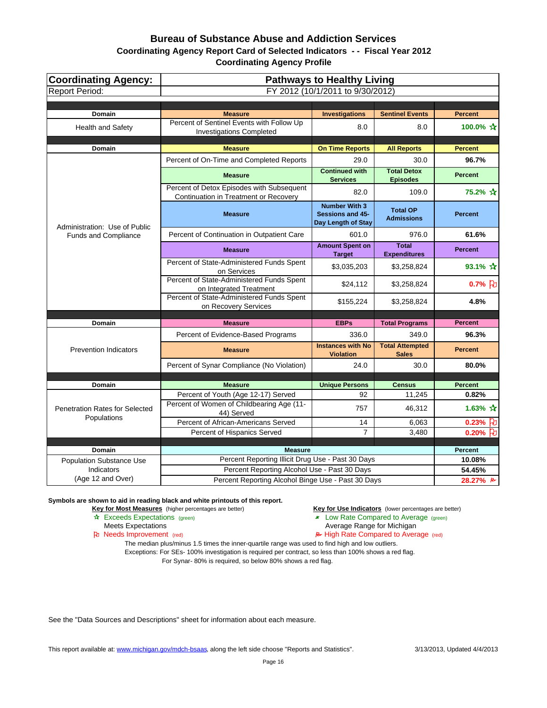| Coordinating Agency:<br><b>Report Period:</b> | <b>Pathways to Healthy Living</b><br>FY 2012 (10/1/2011 to 9/30/2012)              |                                                                |                                        |                                   |
|-----------------------------------------------|------------------------------------------------------------------------------------|----------------------------------------------------------------|----------------------------------------|-----------------------------------|
|                                               |                                                                                    |                                                                |                                        |                                   |
| <b>Domain</b>                                 | <b>Measure</b>                                                                     | <b>Investigations</b>                                          | <b>Sentinel Events</b>                 | <b>Percent</b>                    |
| <b>Health and Safety</b>                      | Percent of Sentinel Events with Follow Up<br><b>Investigations Completed</b>       | 8.0                                                            | 8.0                                    | 100.0% ☆                          |
| <b>Domain</b>                                 | <b>Measure</b>                                                                     | <b>On Time Reports</b>                                         | <b>All Reports</b>                     | <b>Percent</b>                    |
|                                               | Percent of On-Time and Completed Reports                                           | 29.0                                                           | 30.0                                   | 96.7%                             |
|                                               | <b>Measure</b>                                                                     | <b>Continued with</b><br><b>Services</b>                       | <b>Total Detox</b><br><b>Episodes</b>  | <b>Percent</b>                    |
|                                               | Percent of Detox Episodes with Subsequent<br>Continuation in Treatment or Recovery | 82.0                                                           | 109.0                                  | 75.2% ☆                           |
| Administration: Use of Public                 | <b>Measure</b>                                                                     | <b>Number With 3</b><br>Sessions and 45-<br>Day Length of Stay | <b>Total OP</b><br><b>Admissions</b>   | <b>Percent</b>                    |
| <b>Funds and Compliance</b>                   | Percent of Continuation in Outpatient Care                                         | 601.0                                                          | 976.0                                  | 61.6%                             |
|                                               | <b>Measure</b>                                                                     | <b>Amount Spent on</b><br><b>Target</b>                        | <b>Total</b><br><b>Expenditures</b>    | <b>Percent</b>                    |
|                                               | Percent of State-Administered Funds Spent<br>on Services                           | \$3,035,203                                                    | \$3,258,824                            | 93.1% $\mathbf{\hat{x}}$          |
|                                               | Percent of State-Administered Funds Spent<br>on Integrated Treatment               | \$24,112                                                       | \$3,258,824                            | $0.7%$ $\dot{b}$                  |
|                                               | Percent of State-Administered Funds Spent<br>on Recovery Services                  | \$155,224                                                      | \$3,258,824                            | 4.8%                              |
| Domain                                        | <b>Measure</b>                                                                     | <b>EBPs</b>                                                    | <b>Total Programs</b>                  | <b>Percent</b>                    |
|                                               | Percent of Evidence-Based Programs                                                 | 336.0                                                          | 349.0                                  | 96.3%                             |
| <b>Prevention Indicators</b>                  | <b>Measure</b>                                                                     | <b>Instances with No</b><br><b>Violation</b>                   | <b>Total Attempted</b><br><b>Sales</b> | <b>Percent</b>                    |
|                                               | Percent of Synar Compliance (No Violation)                                         | 24.0                                                           | 30.0                                   | 80.0%                             |
|                                               |                                                                                    |                                                                |                                        |                                   |
| <b>Domain</b>                                 | <b>Measure</b>                                                                     | <b>Unique Persons</b>                                          | <b>Census</b>                          | <b>Percent</b>                    |
| Penetration Rates for Selected                | Percent of Youth (Age 12-17) Served<br>Percent of Women of Childbearing Age (11-   | 92<br>757                                                      | 11,245<br>46,312                       | 0.82%<br>1.63% $\mathbf{\hat{x}}$ |
| Populations                                   | 44) Served<br>Percent of African-Americans Served                                  | 14                                                             | 6,063                                  | 0.23% $\upbeta$                   |
|                                               | Percent of Hispanics Served                                                        | $\overline{7}$                                                 | 3,480                                  | $0.20%$ U                         |
|                                               |                                                                                    |                                                                |                                        |                                   |
| <b>Domain</b>                                 | <b>Measure</b><br>Percent Reporting Illicit Drug Use - Past 30 Days                |                                                                |                                        | <b>Percent</b><br>10.08%          |
| <b>Population Substance Use</b><br>Indicators | Percent Reporting Alcohol Use - Past 30 Days                                       |                                                                |                                        | 54.45%                            |
| (Age 12 and Over)                             | Percent Reporting Alcohol Binge Use - Past 30 Days                                 |                                                                |                                        | 28.27% B                          |

**Symbols are shown to aid in reading black and white printouts of this report.**

**Key for Most Measures** (higher percentages are better) **Key for Use Indicators** (lower percentages are better)

- **A** Exceeds Expectations (green) **Low Rate Compared to Average (green)** Meets Expectations (green) **Low Rate Compared to Average (green)** 
	- Average Range for Michigan

Pu Needs Improvement (red) **A** High Rate Compared to Average (red)

The median plus/minus 1.5 times the inner-quartile range was used to find high and low outliers. Exceptions: For SEs- 100% investigation is required per contract, so less than 100% shows a red flag.

For Synar- 80% is required, so below 80% shows a red flag.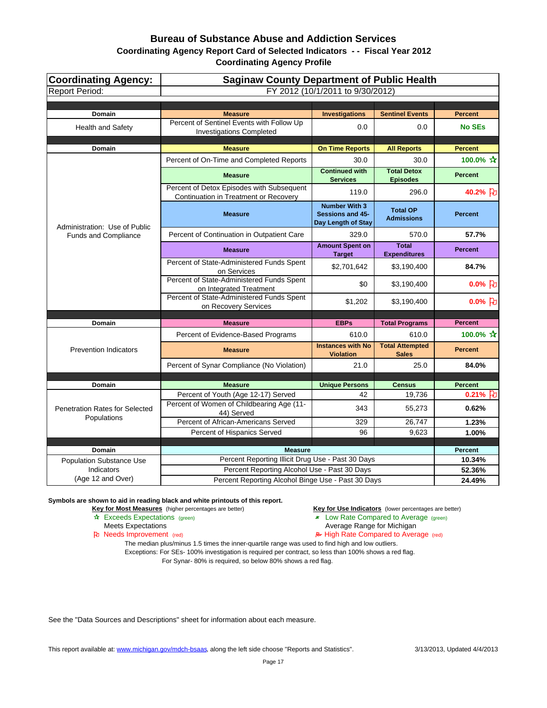| Coordinating Agency:<br><b>Report Period:</b> | <b>Saginaw County Department of Public Health</b><br>FY 2012 (10/1/2011 to 9/30/2012)             |                                                                |                                        |                           |
|-----------------------------------------------|---------------------------------------------------------------------------------------------------|----------------------------------------------------------------|----------------------------------------|---------------------------|
|                                               |                                                                                                   |                                                                |                                        |                           |
| <b>Domain</b>                                 | <b>Measure</b>                                                                                    | <b>Investigations</b>                                          | <b>Sentinel Events</b>                 | <b>Percent</b>            |
| <b>Health and Safety</b>                      | Percent of Sentinel Events with Follow Up<br><b>Investigations Completed</b>                      | 0.0                                                            | 0.0                                    | <b>No SEs</b>             |
| <b>Domain</b>                                 | <b>Measure</b>                                                                                    | <b>On Time Reports</b>                                         | <b>All Reports</b>                     | <b>Percent</b>            |
|                                               | Percent of On-Time and Completed Reports                                                          | 30.0                                                           | 30.0                                   | 100.0% ☆                  |
|                                               | <b>Measure</b>                                                                                    | <b>Continued with</b><br><b>Services</b>                       | <b>Total Detox</b><br><b>Episodes</b>  | <b>Percent</b>            |
|                                               | Percent of Detox Episodes with Subsequent<br>Continuation in Treatment or Recovery                | 119.0                                                          | 296.0                                  | 40.2% }                   |
| Administration: Use of Public                 | <b>Measure</b>                                                                                    | <b>Number With 3</b><br>Sessions and 45-<br>Day Length of Stay | <b>Total OP</b><br><b>Admissions</b>   | <b>Percent</b>            |
| <b>Funds and Compliance</b>                   | Percent of Continuation in Outpatient Care                                                        | 329.0                                                          | 570.0                                  | 57.7%                     |
|                                               | <b>Measure</b>                                                                                    | <b>Amount Spent on</b><br><b>Target</b>                        | <b>Total</b><br><b>Expenditures</b>    | <b>Percent</b>            |
|                                               | Percent of State-Administered Funds Spent<br>on Services                                          | \$2,701,642                                                    | \$3,190,400                            | 84.7%                     |
|                                               | Percent of State-Administered Funds Spent<br>on Integrated Treatment                              | \$0                                                            | \$3,190,400                            | $0.0\%$ 2                 |
|                                               | Percent of State-Administered Funds Spent<br>on Recovery Services                                 | \$1,202                                                        | \$3,190,400                            | $0.0\%$ 2                 |
|                                               |                                                                                                   |                                                                |                                        |                           |
| Domain                                        | <b>Measure</b>                                                                                    | <b>EBPs</b>                                                    | <b>Total Programs</b>                  | <b>Percent</b>            |
|                                               | Percent of Evidence-Based Programs                                                                | 610.0                                                          | 610.0                                  | 100.0% $\mathbf{\hat{x}}$ |
| <b>Prevention Indicators</b>                  | <b>Measure</b>                                                                                    | <b>Instances with No</b><br><b>Violation</b>                   | <b>Total Attempted</b><br><b>Sales</b> | <b>Percent</b>            |
|                                               | Percent of Synar Compliance (No Violation)                                                        | 21.0                                                           | 25.0                                   | 84.0%                     |
|                                               |                                                                                                   |                                                                |                                        |                           |
| <b>Domain</b>                                 | <b>Measure</b>                                                                                    | <b>Unique Persons</b>                                          | <b>Census</b>                          | <b>Percent</b>            |
| Penetration Rates for Selected                | Percent of Youth (Age 12-17) Served<br>Percent of Women of Childbearing Age (11-<br>44) Served    | 42<br>343                                                      | 19,736<br>55,273                       | $0.21%$ 2<br>0.62%        |
| Populations                                   | Percent of African-Americans Served                                                               | 329                                                            | 26,747                                 | 1.23%                     |
|                                               | Percent of Hispanics Served                                                                       | 96                                                             | 9,623                                  | 1.00%                     |
|                                               |                                                                                                   |                                                                |                                        |                           |
| <b>Domain</b>                                 | <b>Measure</b>                                                                                    |                                                                |                                        | <b>Percent</b>            |
| <b>Population Substance Use</b><br>Indicators | Percent Reporting Illicit Drug Use - Past 30 Days<br>Percent Reporting Alcohol Use - Past 30 Days |                                                                |                                        | 10.34%<br>52.36%          |
| (Age 12 and Over)                             | Percent Reporting Alcohol Binge Use - Past 30 Days                                                |                                                                |                                        | 24.49%                    |
|                                               |                                                                                                   |                                                                |                                        |                           |

**Symbols are shown to aid in reading black and white printouts of this report.**

**Key for Most Measures** (higher percentages are better) **Key for Use Indicators** (lower percentages are better)

- **A** Exceeds Expectations (green) **Low Rate Compared to Average (green)** Meets Expectations (green) **Low Rate Compared to Average (green)** 
	- Average Range for Michigan

Pu Needs Improvement (red) **A** High Rate Compared to Average (red)

The median plus/minus 1.5 times the inner-quartile range was used to find high and low outliers. Exceptions: For SEs- 100% investigation is required per contract, so less than 100% shows a red flag. For Synar- 80% is required, so below 80% shows a red flag.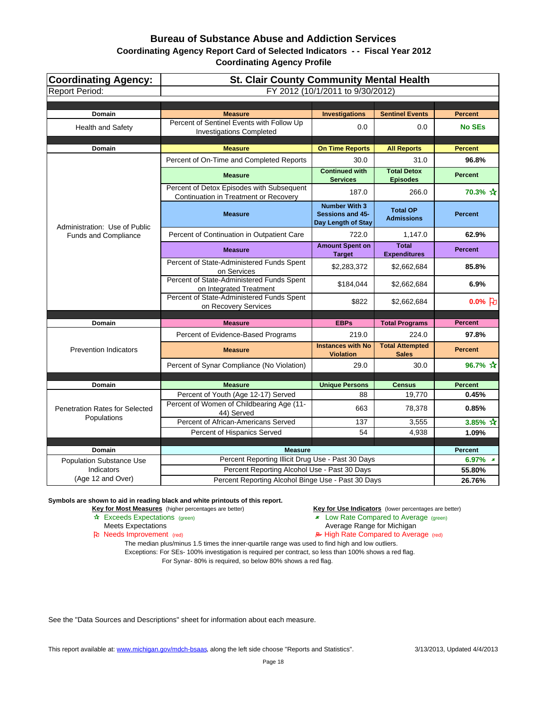| Coordinating Agency:<br><b>Report Period:</b>        | <b>St. Clair County Community Mental Health</b><br>FY 2012 (10/1/2011 to 9/30/2012) |                                                                       |                                        |                      |
|------------------------------------------------------|-------------------------------------------------------------------------------------|-----------------------------------------------------------------------|----------------------------------------|----------------------|
|                                                      |                                                                                     |                                                                       |                                        |                      |
| <b>Domain</b>                                        | <b>Measure</b>                                                                      | <b>Investigations</b>                                                 | <b>Sentinel Events</b>                 | <b>Percent</b>       |
| <b>Health and Safety</b>                             | Percent of Sentinel Events with Follow Up<br><b>Investigations Completed</b>        | 0.0                                                                   | 0.0                                    | <b>No SEs</b>        |
| <b>Domain</b>                                        | <b>Measure</b>                                                                      | <b>On Time Reports</b>                                                | <b>All Reports</b>                     | <b>Percent</b>       |
|                                                      | Percent of On-Time and Completed Reports                                            | 30.0                                                                  | 31.0                                   | 96.8%                |
|                                                      | <b>Measure</b>                                                                      | <b>Continued with</b><br><b>Services</b>                              | <b>Total Detox</b><br><b>Episodes</b>  | <b>Percent</b>       |
|                                                      | Percent of Detox Episodes with Subsequent<br>Continuation in Treatment or Recovery  | 187.0                                                                 | 266.0                                  | 70.3% ☆              |
| Administration: Use of Public                        | <b>Measure</b>                                                                      | <b>Number With 3</b><br><b>Sessions and 45-</b><br>Day Length of Stay | <b>Total OP</b><br><b>Admissions</b>   | <b>Percent</b>       |
| <b>Funds and Compliance</b>                          | Percent of Continuation in Outpatient Care                                          | 722.0                                                                 | 1,147.0                                | 62.9%                |
|                                                      | <b>Measure</b>                                                                      | <b>Amount Spent on</b><br><b>Target</b>                               | <b>Total</b><br><b>Expenditures</b>    | <b>Percent</b>       |
|                                                      | Percent of State-Administered Funds Spent<br>on Services                            | \$2,283,372                                                           | \$2,662,684                            | 85.8%                |
|                                                      | Percent of State-Administered Funds Spent<br>on Integrated Treatment                | \$184,044                                                             | \$2,662,684                            | 6.9%                 |
|                                                      | Percent of State-Administered Funds Spent<br>on Recovery Services                   | \$822                                                                 | \$2,662,684                            | $0.0%$ PU            |
| Domain                                               | <b>Measure</b>                                                                      | <b>EBPs</b>                                                           |                                        | <b>Percent</b>       |
|                                                      | Percent of Evidence-Based Programs                                                  | 219.0                                                                 | <b>Total Programs</b><br>224.0         | 97.8%                |
| <b>Prevention Indicators</b>                         | <b>Measure</b>                                                                      | <b>Instances with No</b><br><b>Violation</b>                          | <b>Total Attempted</b><br><b>Sales</b> | <b>Percent</b>       |
|                                                      | Percent of Synar Compliance (No Violation)                                          | 29.0                                                                  | 30.0                                   | 96.7% $\bm{\hat{x}}$ |
|                                                      |                                                                                     |                                                                       |                                        |                      |
| <b>Domain</b>                                        | <b>Measure</b>                                                                      | <b>Unique Persons</b>                                                 | <b>Census</b>                          | <b>Percent</b>       |
|                                                      | Percent of Youth (Age 12-17) Served                                                 | 88                                                                    | 19,770                                 | 0.45%                |
| <b>Penetration Rates for Selected</b><br>Populations | Percent of Women of Childbearing Age (11-<br>44) Served                             | 663                                                                   | 78,378                                 | 0.85%                |
|                                                      | Percent of African-Americans Served                                                 | 137                                                                   | 3,555                                  | 3.85% $\bm{\hat{x}}$ |
|                                                      | Percent of Hispanics Served                                                         | 54                                                                    | 4,938                                  | 1.09%                |
| Domain                                               | <b>Measure</b>                                                                      |                                                                       |                                        | <b>Percent</b>       |
| <b>Population Substance Use</b>                      | Percent Reporting Illicit Drug Use - Past 30 Days                                   |                                                                       |                                        | 6.97% $*$            |
| Indicators                                           | Percent Reporting Alcohol Use - Past 30 Days                                        |                                                                       |                                        | 55.80%               |
| (Age 12 and Over)                                    | Percent Reporting Alcohol Binge Use - Past 30 Days                                  |                                                                       |                                        | 26.76%               |

**Symbols are shown to aid in reading black and white printouts of this report.**

**Key for Most Measures** (higher percentages are better) **Key for Use Indicators** (lower percentages are better)

- **A** Exceeds Expectations (green) **Low Rate Compared to Average (green)** Meets Expectations (green) **Low Rate Compared to Average (green)** 
	- Average Range for Michigan

Pu Needs Improvement (red) **A** High Rate Compared to Average (red)

The median plus/minus 1.5 times the inner-quartile range was used to find high and low outliers. Exceptions: For SEs- 100% investigation is required per contract, so less than 100% shows a red flag. For Synar- 80% is required, so below 80% shows a red flag.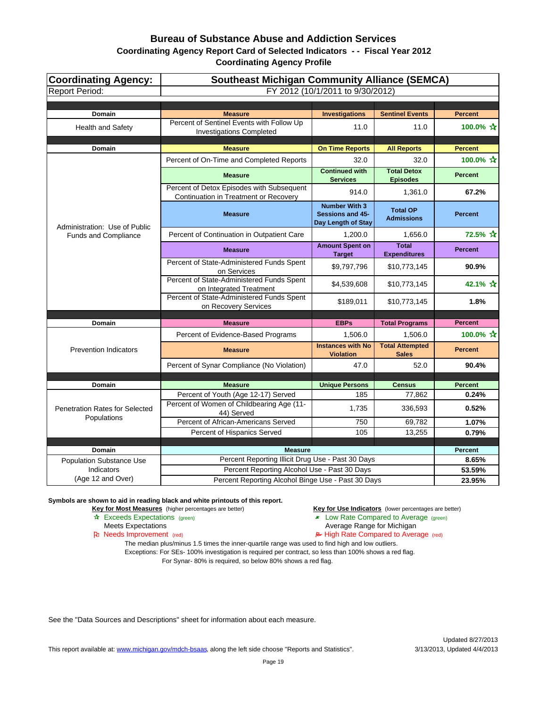| <b>Coordinating Agency:</b><br><b>Report Period:</b> | <b>Southeast Michigan Community Alliance (SEMCA)</b><br>FY 2012 (10/1/2011 to 9/30/2012) |                                                                       |                                        |                           |
|------------------------------------------------------|------------------------------------------------------------------------------------------|-----------------------------------------------------------------------|----------------------------------------|---------------------------|
|                                                      |                                                                                          |                                                                       |                                        |                           |
| <b>Domain</b>                                        | <b>Measure</b>                                                                           | <b>Investigations</b>                                                 | <b>Sentinel Events</b>                 | <b>Percent</b>            |
| <b>Health and Safety</b>                             | Percent of Sentinel Events with Follow Up<br><b>Investigations Completed</b>             | 11.0                                                                  | 11.0                                   | 100.0% $\mathbf{\hat{x}}$ |
| <b>Domain</b>                                        | <b>Measure</b>                                                                           | <b>On Time Reports</b>                                                | <b>All Reports</b>                     | <b>Percent</b>            |
|                                                      | Percent of On-Time and Completed Reports                                                 | 32.0                                                                  | 32.0                                   | 100.0% ☆                  |
|                                                      | <b>Measure</b>                                                                           | <b>Continued with</b><br><b>Services</b>                              | <b>Total Detox</b><br><b>Episodes</b>  | <b>Percent</b>            |
|                                                      | Percent of Detox Episodes with Subsequent<br>Continuation in Treatment or Recovery       | 914.0                                                                 | 1,361.0                                | 67.2%                     |
| Administration: Use of Public                        | <b>Measure</b>                                                                           | <b>Number With 3</b><br><b>Sessions and 45-</b><br>Day Length of Stay | <b>Total OP</b><br><b>Admissions</b>   | <b>Percent</b>            |
| <b>Funds and Compliance</b>                          | Percent of Continuation in Outpatient Care                                               | 1,200.0                                                               | 1,656.0                                | 72.5% ☆                   |
|                                                      | <b>Measure</b>                                                                           | <b>Amount Spent on</b><br><b>Target</b>                               | <b>Total</b><br><b>Expenditures</b>    | <b>Percent</b>            |
|                                                      | Percent of State-Administered Funds Spent<br>on Services                                 | \$9,797,796                                                           | \$10,773,145                           | 90.9%                     |
|                                                      | Percent of State-Administered Funds Spent<br>on Integrated Treatment                     | \$4,539,608                                                           | \$10,773,145                           | 42.1% ☆                   |
|                                                      | Percent of State-Administered Funds Spent<br>on Recovery Services                        | \$189,011                                                             | \$10,773,145                           | 1.8%                      |
|                                                      | <b>Measure</b>                                                                           |                                                                       |                                        | <b>Percent</b>            |
| Domain                                               |                                                                                          | <b>EBPs</b>                                                           | <b>Total Programs</b>                  |                           |
|                                                      | Percent of Evidence-Based Programs                                                       | 1,506.0                                                               | 1,506.0                                | 100.0% ☆                  |
| <b>Prevention Indicators</b>                         | <b>Measure</b>                                                                           | <b>Instances with No</b><br><b>Violation</b>                          | <b>Total Attempted</b><br><b>Sales</b> | <b>Percent</b>            |
|                                                      | Percent of Synar Compliance (No Violation)                                               | 47.0                                                                  | 52.0                                   | 90.4%                     |
|                                                      |                                                                                          |                                                                       |                                        |                           |
| <b>Domain</b>                                        | <b>Measure</b>                                                                           | <b>Unique Persons</b>                                                 | <b>Census</b>                          | <b>Percent</b>            |
|                                                      | Percent of Youth (Age 12-17) Served                                                      | 185                                                                   | 77,862                                 | 0.24%                     |
| Penetration Rates for Selected<br>Populations        | Percent of Women of Childbearing Age (11-<br>44) Served                                  | 1,735                                                                 | 336,593                                | 0.52%                     |
|                                                      | Percent of African-Americans Served                                                      | 750                                                                   | 69,782                                 | 1.07%                     |
|                                                      | Percent of Hispanics Served                                                              | 105                                                                   | 13,255                                 | 0.79%                     |
| <b>Domain</b>                                        | <b>Measure</b>                                                                           |                                                                       |                                        | <b>Percent</b>            |
| <b>Population Substance Use</b>                      | Percent Reporting Illicit Drug Use - Past 30 Days                                        |                                                                       |                                        | 8.65%                     |
| Indicators                                           | Percent Reporting Alcohol Use - Past 30 Days                                             |                                                                       |                                        | 53.59%                    |
| (Age 12 and Over)                                    | Percent Reporting Alcohol Binge Use - Past 30 Days                                       |                                                                       |                                        | 23.95%                    |

**Symbols are shown to aid in reading black and white printouts of this report.**

**Key for Most Measures** (higher percentages are better) **Key for Use Indicators** (lower percentages are better)

- Exceeds Expectations (green) Low Rate Compared to Average (green)
	- Meets Expectations **Average Range for Michigan**

Needs Improvement (red) High Rate Compared to Average (red)

The median plus/minus 1.5 times the inner-quartile range was used to find high and low outliers. Exceptions: For SEs- 100% investigation is required per contract, so less than 100% shows a red flag. For Synar- 80% is required, so below 80% shows a red flag.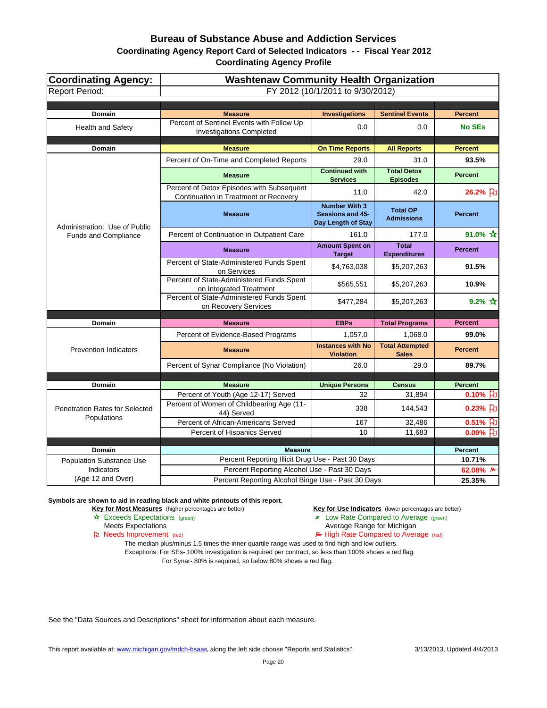| Coordinating Agency:<br><b>Report Period:</b> | <b>Washtenaw Community Health Organization</b><br>FY 2012 (10/1/2011 to 9/30/2012)                |                                                                |                                        |                                  |
|-----------------------------------------------|---------------------------------------------------------------------------------------------------|----------------------------------------------------------------|----------------------------------------|----------------------------------|
|                                               |                                                                                                   |                                                                |                                        |                                  |
| <b>Domain</b>                                 | <b>Measure</b>                                                                                    | <b>Investigations</b>                                          | <b>Sentinel Events</b>                 | <b>Percent</b>                   |
| <b>Health and Safety</b>                      | Percent of Sentinel Events with Follow Up<br><b>Investigations Completed</b>                      | 0.0                                                            | 0.0                                    | <b>No SEs</b>                    |
| <b>Domain</b>                                 | <b>Measure</b>                                                                                    | <b>On Time Reports</b>                                         | <b>All Reports</b>                     | <b>Percent</b>                   |
|                                               | Percent of On-Time and Completed Reports                                                          | 29.0                                                           | 31.0                                   | 93.5%                            |
|                                               | <b>Measure</b>                                                                                    | <b>Continued with</b><br><b>Services</b>                       | <b>Total Detox</b><br><b>Episodes</b>  | <b>Percent</b>                   |
|                                               | Percent of Detox Episodes with Subsequent<br>Continuation in Treatment or Recovery                | 11.0                                                           | 42.0                                   | 26.2% 7                          |
| Administration: Use of Public                 | <b>Measure</b>                                                                                    | <b>Number With 3</b><br>Sessions and 45-<br>Day Length of Stay | <b>Total OP</b><br><b>Admissions</b>   | <b>Percent</b>                   |
| <b>Funds and Compliance</b>                   | Percent of Continuation in Outpatient Care                                                        | 161.0                                                          | 177.0                                  | 91.0% $\hat{X}$                  |
|                                               | <b>Measure</b>                                                                                    | <b>Amount Spent on</b><br><b>Target</b>                        | <b>Total</b><br><b>Expenditures</b>    | <b>Percent</b>                   |
|                                               | Percent of State-Administered Funds Spent<br>on Services                                          | \$4,763,038                                                    | \$5,207,263                            | 91.5%                            |
|                                               | Percent of State-Administered Funds Spent<br>on Integrated Treatment                              | \$565,551                                                      | \$5,207,263                            | 10.9%                            |
|                                               | Percent of State-Administered Funds Spent<br>on Recovery Services                                 | \$477,284                                                      | \$5,207,263                            | 9.2% $\mathbf{\hat{x}}$          |
| Domain                                        | <b>Measure</b>                                                                                    | <b>EBPs</b>                                                    | <b>Total Programs</b>                  | <b>Percent</b>                   |
|                                               | Percent of Evidence-Based Programs                                                                | 1,057.0                                                        | 1,068.0                                | 99.0%                            |
| <b>Prevention Indicators</b>                  | <b>Measure</b>                                                                                    | <b>Instances with No</b><br><b>Violation</b>                   | <b>Total Attempted</b><br><b>Sales</b> | <b>Percent</b>                   |
|                                               | Percent of Synar Compliance (No Violation)                                                        | 26.0                                                           | 29.0                                   | 89.7%                            |
|                                               |                                                                                                   |                                                                |                                        |                                  |
| <b>Domain</b>                                 | <b>Measure</b>                                                                                    | <b>Unique Persons</b>                                          | <b>Census</b>                          | <b>Percent</b>                   |
| Penetration Rates for Selected                | Percent of Youth (Age 12-17) Served<br>Percent of Women of Childbearing Age (11-                  | 32<br>338                                                      | 31,894<br>144,543                      | 0.10% $\upbeta$<br>$0.23%$ $ E $ |
| Populations                                   | 44) Served<br>Percent of African-Americans Served                                                 | 167                                                            | 32,486                                 | 0.51% FU                         |
|                                               | Percent of Hispanics Served                                                                       | 10                                                             | 11,683                                 | $0.09%$ FU                       |
|                                               |                                                                                                   |                                                                |                                        |                                  |
| <b>Domain</b>                                 | <b>Measure</b>                                                                                    |                                                                |                                        | <b>Percent</b>                   |
| <b>Population Substance Use</b><br>Indicators | Percent Reporting Illicit Drug Use - Past 30 Days<br>Percent Reporting Alcohol Use - Past 30 Days |                                                                |                                        | 10.71%                           |
| (Age 12 and Over)                             | Percent Reporting Alcohol Binge Use - Past 30 Days                                                |                                                                |                                        | 62.08% ₽<br>25.35%               |
|                                               |                                                                                                   |                                                                |                                        |                                  |

**Symbols are shown to aid in reading black and white printouts of this report.**

**Key for Most Measures** (higher percentages are better) **Key for Use Indicators** (lower percentages are better)

- Exceeds Expectations (green) Low Rate Compared to Average (green)
	- Meets Expectations **Average Range for Michigan**
- Needs Improvement (red) High Rate Compared to Average (red)

The median plus/minus 1.5 times the inner-quartile range was used to find high and low outliers. Exceptions: For SEs- 100% investigation is required per contract, so less than 100% shows a red flag. For Synar- 80% is required, so below 80% shows a red flag.